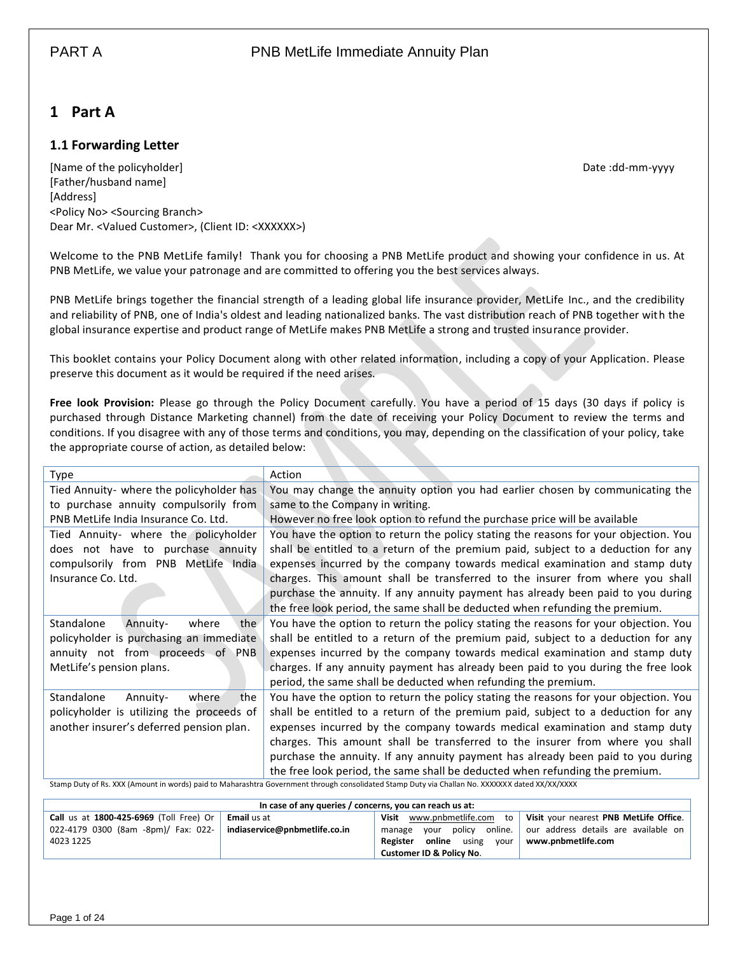## PART A **PART A** PNB MetLife Immediate Annuity Plan

# <span id="page-0-0"></span>**1 Part A**

## <span id="page-0-1"></span>**1.1 Forwarding Letter**

[Name of the policyholder] Date :dd-mm-yyyy [Father/husband name] [Address] <Policy No> <Sourcing Branch> Dear Mr. <Valued Customer>, (Client ID: <XXXXXX>)

Welcome to the PNB MetLife family! Thank you for choosing a PNB MetLife product and showing your confidence in us. At PNB MetLife, we value your patronage and are committed to offering you the best services always.

PNB MetLife brings together the financial strength of a leading global life insurance provider, MetLife Inc., and the credibility and reliability of PNB, one of India's oldest and leading nationalized banks. The vast distribution reach of PNB together with the global insurance expertise and product range of MetLife makes PNB MetLife a strong and trusted insurance provider.

This booklet contains your Policy Document along with other related information, including a copy of your Application. Please preserve this document as it would be required if the need arises.

**Free look Provision:** Please go through the Policy Document carefully. You have a period of 15 days (30 days if policy is purchased through Distance Marketing channel) from the date of receiving your Policy Document to review the terms and conditions. If you disagree with any of those terms and conditions, you may, depending on the classification of your policy, take the appropriate course of action, as detailed below:

| <b>Type</b>                               | Action                                                                               |  |  |
|-------------------------------------------|--------------------------------------------------------------------------------------|--|--|
| Tied Annuity- where the policyholder has  | You may change the annuity option you had earlier chosen by communicating the        |  |  |
| to purchase annuity compulsorily from     | same to the Company in writing.                                                      |  |  |
| PNB MetLife India Insurance Co. Ltd.      | However no free look option to refund the purchase price will be available           |  |  |
| Tied Annuity- where the policyholder      | You have the option to return the policy stating the reasons for your objection. You |  |  |
| does not have to purchase annuity         | shall be entitled to a return of the premium paid, subject to a deduction for any    |  |  |
| compulsorily from PNB MetLife India       | expenses incurred by the company towards medical examination and stamp duty          |  |  |
| Insurance Co. Ltd.                        | charges. This amount shall be transferred to the insurer from where you shall        |  |  |
|                                           | purchase the annuity. If any annuity payment has already been paid to you during     |  |  |
|                                           | the free look period, the same shall be deducted when refunding the premium.         |  |  |
| Standalone<br>Annuity-<br>where<br>the    | You have the option to return the policy stating the reasons for your objection. You |  |  |
| policyholder is purchasing an immediate   | shall be entitled to a return of the premium paid, subject to a deduction for any    |  |  |
| annuity not from proceeds of PNB          | expenses incurred by the company towards medical examination and stamp duty          |  |  |
| MetLife's pension plans.                  | charges. If any annuity payment has already been paid to you during the free look    |  |  |
|                                           | period, the same shall be deducted when refunding the premium.                       |  |  |
| Standalone<br>Annuity-<br>where<br>the    | You have the option to return the policy stating the reasons for your objection. You |  |  |
| policyholder is utilizing the proceeds of | shall be entitled to a return of the premium paid, subject to a deduction for any    |  |  |
| another insurer's deferred pension plan.  | expenses incurred by the company towards medical examination and stamp duty          |  |  |
|                                           | charges. This amount shall be transferred to the insurer from where you shall        |  |  |
|                                           | purchase the annuity. If any annuity payment has already been paid to you during     |  |  |
|                                           | the free look period, the same shall be deducted when refunding the premium.         |  |  |

Stamp Duty of Rs. XXX (Amount in words) paid to Maharashtra Government through consolidated Stamp Duty via Challan No. XXXXXXX dated XX/XX/XXXX

| In case of any queries / concerns, you can reach us at:             |                    |                                           |                                                                |  |  |
|---------------------------------------------------------------------|--------------------|-------------------------------------------|----------------------------------------------------------------|--|--|
| Call us at 1800-425-6969 (Toll Free) Or                             | <b>Email</b> us at | Visit                                     | www.pnbmetlife.com to   Visit your nearest PNB MetLife Office. |  |  |
| 022-4179 0300 (8am -8pm)/ Fax: 022-   indiaservice@pnbmetlife.co.in |                    | manage                                    | your policy online.   our address details are available on     |  |  |
| 4023 1225                                                           |                    | <b>online</b> using<br>vour l<br>Register | www.pnbmetlife.com                                             |  |  |
|                                                                     |                    | <b>Customer ID &amp; Policy No.</b>       |                                                                |  |  |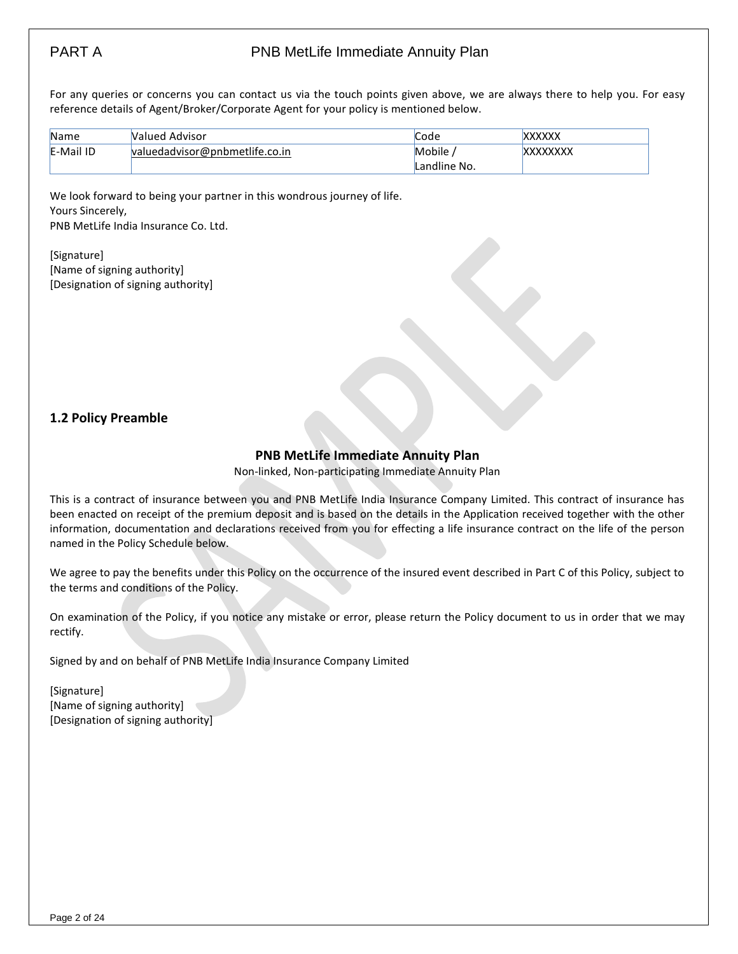# PART A **PART A** PNB MetLife Immediate Annuity Plan

For any queries or concerns you can contact us via the touch points given above, we are always there to help you. For easy reference details of Agent/Broker/Corporate Agent for your policy is mentioned below.

| <b>Name</b> | <b>Nalued Advisor</b>          | 'Code        | wwwww<br><b>WAAAAA</b>              |
|-------------|--------------------------------|--------------|-------------------------------------|
| E-Mail ID   | valuedadvisor@pnbmetlife.co.in | Mobile       | <b>NYVYYYYY</b><br><b>IAAAAAAAA</b> |
|             |                                | Landline No. |                                     |

We look forward to being your partner in this wondrous journey of life. Yours Sincerely, PNB MetLife India Insurance Co. Ltd.

[Signature] [Name of signing authority] [Designation of signing authority]

## <span id="page-1-0"></span>**1.2 Policy Preamble**

## **PNB MetLife Immediate Annuity Plan**

Non-linked, Non-participating Immediate Annuity Plan

This is a contract of insurance between you and PNB MetLife India Insurance Company Limited. This contract of insurance has been enacted on receipt of the premium deposit and is based on the details in the Application received together with the other information, documentation and declarations received from you for effecting a life insurance contract on the life of the person named in the Policy Schedule below.

We agree to pay the benefits under this Policy on the occurrence of the insured event described in Part C of this Policy, subject to the terms and conditions of the Policy.

On examination of the Policy, if you notice any mistake or error, please return the Policy document to us in order that we may rectify.

Signed by and on behalf of PNB MetLife India Insurance Company Limited

[Signature] [Name of signing authority] [Designation of signing authority]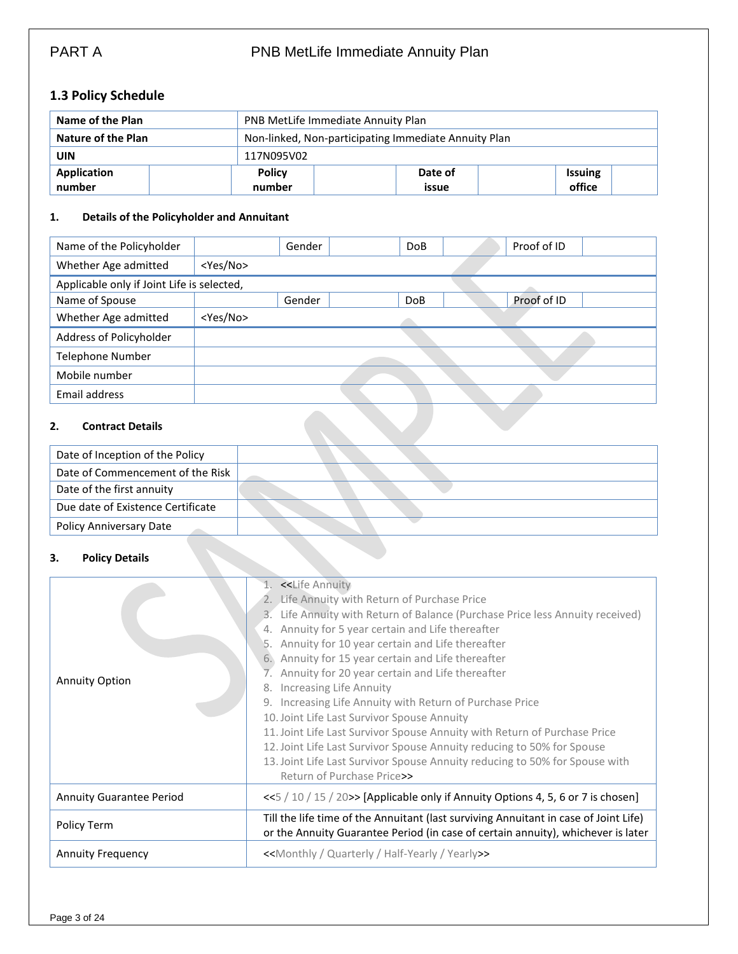# <span id="page-2-0"></span>**1.3 Policy Schedule**

| Name of the Plan          |                                                      | PNB MetLife Immediate Annuity Plan |  |  |
|---------------------------|------------------------------------------------------|------------------------------------|--|--|
| <b>Nature of the Plan</b> | Non-linked, Non-participating Immediate Annuity Plan |                                    |  |  |
| <b>UIN</b>                | 117N095V02                                           |                                    |  |  |
| Application               | <b>Policy</b>                                        | <b>Issuing</b><br>Date of          |  |  |
| number                    | number                                               | office<br>issue                    |  |  |

## **1. Details of the Policyholder and Annuitant**

| Name of the Policyholder                   |                   | Gender | <b>DoB</b> |  | Proof of ID |
|--------------------------------------------|-------------------|--------|------------|--|-------------|
| Whether Age admitted                       | <yes no=""></yes> |        |            |  |             |
| Applicable only if Joint Life is selected, |                   |        |            |  |             |
| Name of Spouse                             |                   | Gender | <b>DoB</b> |  | Proof of ID |
| Whether Age admitted                       | <yes no=""></yes> |        |            |  |             |
| Address of Policyholder                    |                   |        |            |  |             |
| <b>Telephone Number</b>                    |                   |        |            |  |             |
| Mobile number                              |                   |        |            |  |             |
| Email address                              |                   |        |            |  |             |

## **2. Contract Details**

| Date of Inception of the Policy   |  |
|-----------------------------------|--|
| Date of Commencement of the Risk  |  |
| Date of the first annuity         |  |
| Due date of Existence Certificate |  |
| Policy Anniversary Date           |  |

## **3. Policy Details**

| <b>Annuity Option</b>           | 1. < <life annuity<br="">2. Life Annuity with Return of Purchase Price<br/>3. Life Annuity with Return of Balance (Purchase Price less Annuity received)<br/>4. Annuity for 5 year certain and Life thereafter<br/>5. Annuity for 10 year certain and Life thereafter<br/>6. Annuity for 15 year certain and Life thereafter<br/>7. Annuity for 20 year certain and Life thereafter<br/>8. Increasing Life Annuity<br/>Increasing Life Annuity with Return of Purchase Price<br/>9.<br/>10. Joint Life Last Survivor Spouse Annuity<br/>11. Joint Life Last Survivor Spouse Annuity with Return of Purchase Price<br/>12. Joint Life Last Survivor Spouse Annuity reducing to 50% for Spouse<br/>13. Joint Life Last Survivor Spouse Annuity reducing to 50% for Spouse with<br/>Return of Purchase Price&gt;&gt;</life> |
|---------------------------------|--------------------------------------------------------------------------------------------------------------------------------------------------------------------------------------------------------------------------------------------------------------------------------------------------------------------------------------------------------------------------------------------------------------------------------------------------------------------------------------------------------------------------------------------------------------------------------------------------------------------------------------------------------------------------------------------------------------------------------------------------------------------------------------------------------------------------|
| <b>Annuity Guarantee Period</b> | $<<$ 5/ 10/ 15/ 20>> [Applicable only if Annuity Options 4, 5, 6 or 7 is chosen]                                                                                                                                                                                                                                                                                                                                                                                                                                                                                                                                                                                                                                                                                                                                         |
| Policy Term                     | Till the life time of the Annuitant (last surviving Annuitant in case of Joint Life)<br>or the Annuity Guarantee Period (in case of certain annuity), whichever is later                                                                                                                                                                                                                                                                                                                                                                                                                                                                                                                                                                                                                                                 |
| <b>Annuity Frequency</b>        | < <monthly half-yearly="" quarterly="" yearly="">&gt;</monthly>                                                                                                                                                                                                                                                                                                                                                                                                                                                                                                                                                                                                                                                                                                                                                          |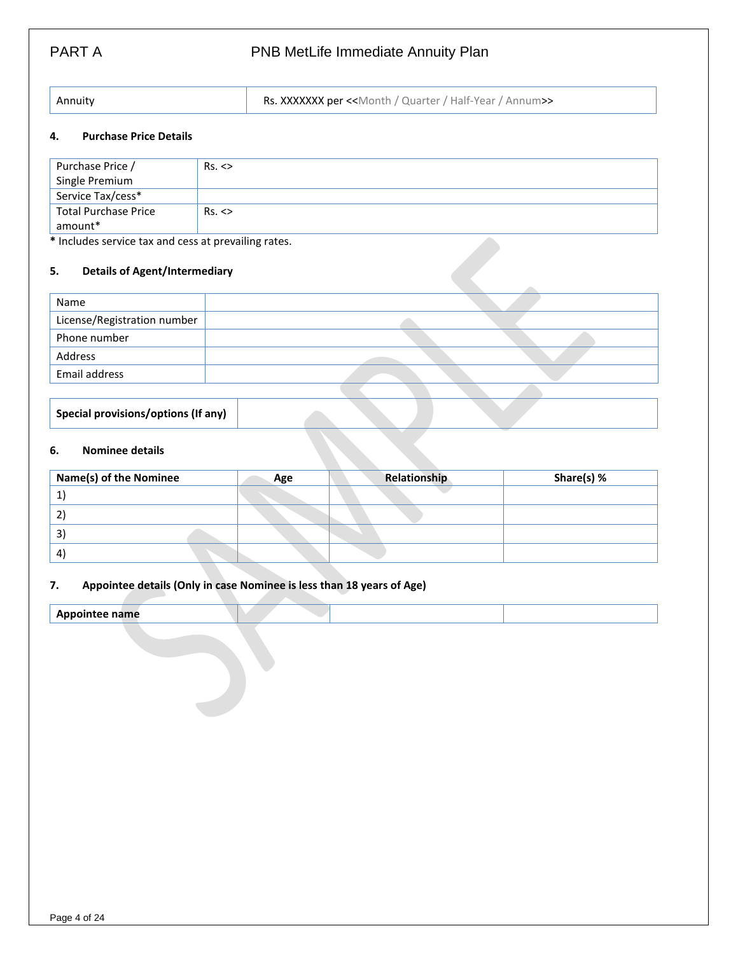## PART A **PART A** PNB MetLife Immediate Annuity Plan

| Annuity | Rs. XXXXXXX per < <month annum="" half-year="" quarter="">&gt;</month> |
|---------|------------------------------------------------------------------------|
|---------|------------------------------------------------------------------------|

### **4. Purchase Price Details**

| Purchase Price /            | Rs. < |
|-----------------------------|-------|
| Single Premium              |       |
| Service Tax/cess*           |       |
| <b>Total Purchase Price</b> | Rs. < |
| amount*                     |       |

**\*** Includes service tax and cess at prevailing rates.

### **5. Details of Agent/Intermediary**

**Special provisions/options (If any)**

| License/Registration number |  |
|-----------------------------|--|
| Phone number                |  |
| Address                     |  |
| Email address               |  |
|                             |  |

## **6. Nominee details**

| <b>Name(s) of the Nominee</b> | Age | Relationship | Share(s) % |
|-------------------------------|-----|--------------|------------|
|                               |     |              |            |
|                               |     |              |            |
|                               |     |              |            |
| $\overline{4}$                |     |              |            |

## **7. Appointee details (Only in case Nominee is less than 18 years of Age)**

| name<br><b>A</b><br>$\mathbf{v}$<br>oint<br>- - |  |  |
|-------------------------------------------------|--|--|
|                                                 |  |  |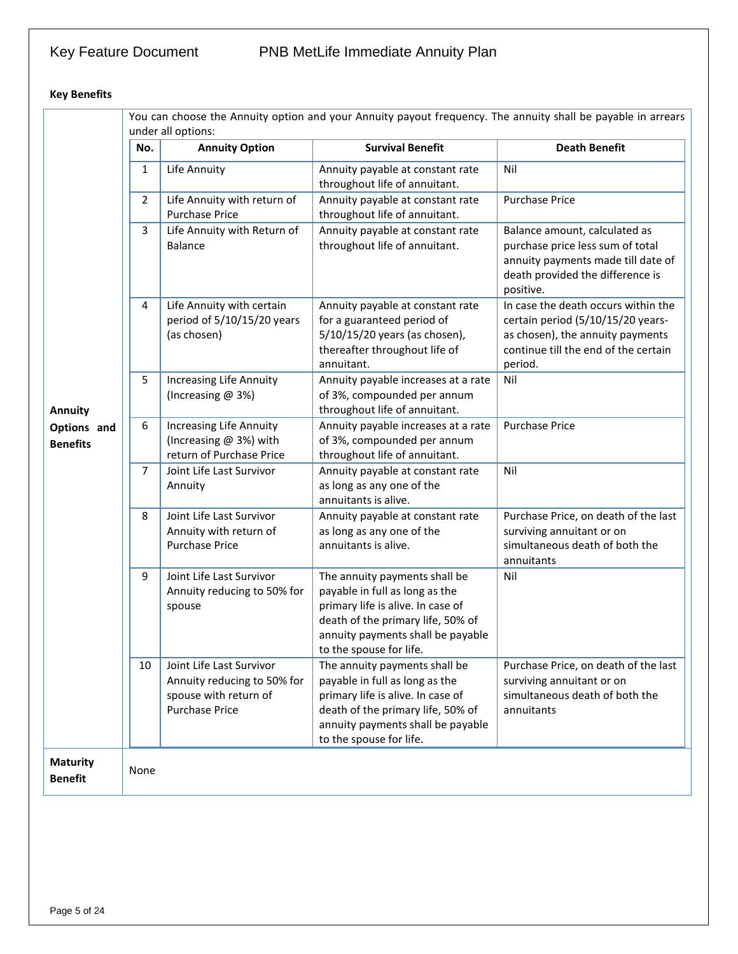# Key Feature Document PNB MetLife Immediate Annuity Plan

## **Key Benefits**

You can choose the Annuity option and your Annuity payout frequency. The annuity shall be payable in arrears under all options:

|                                   | No.            | <b>Annuity Option</b>                                                                                     | <b>Survival Benefit</b>                                                                                                                                                                                   | <b>Death Benefit</b>                                                                                                                                            |
|-----------------------------------|----------------|-----------------------------------------------------------------------------------------------------------|-----------------------------------------------------------------------------------------------------------------------------------------------------------------------------------------------------------|-----------------------------------------------------------------------------------------------------------------------------------------------------------------|
|                                   | $\mathbf{1}$   | Life Annuity                                                                                              | Annuity payable at constant rate<br>throughout life of annuitant.                                                                                                                                         | Nil                                                                                                                                                             |
|                                   | 2              | Life Annuity with return of<br><b>Purchase Price</b>                                                      | Annuity payable at constant rate<br>throughout life of annuitant.                                                                                                                                         | <b>Purchase Price</b>                                                                                                                                           |
|                                   | 3              | Life Annuity with Return of<br><b>Balance</b>                                                             | Annuity payable at constant rate<br>throughout life of annuitant.                                                                                                                                         | Balance amount, calculated as<br>purchase price less sum of total<br>annuity payments made till date of<br>death provided the difference is<br>positive.        |
|                                   | 4              | Life Annuity with certain<br>period of 5/10/15/20 years<br>(as chosen)                                    | Annuity payable at constant rate<br>for a guaranteed period of<br>5/10/15/20 years (as chosen),<br>thereafter throughout life of<br>annuitant.                                                            | In case the death occurs within the<br>certain period (5/10/15/20 years-<br>as chosen), the annuity payments<br>continue till the end of the certain<br>period. |
| <b>Annuity</b>                    | 5              | <b>Increasing Life Annuity</b><br>(Increasing @ 3%)                                                       | Annuity payable increases at a rate<br>of 3%, compounded per annum<br>throughout life of annuitant.                                                                                                       | Nil                                                                                                                                                             |
| Options and<br><b>Benefits</b>    | 6              | Increasing Life Annuity<br>(Increasing @ 3%) with<br>return of Purchase Price                             | Annuity payable increases at a rate<br>of 3%, compounded per annum<br>throughout life of annuitant.                                                                                                       | <b>Purchase Price</b>                                                                                                                                           |
|                                   | $\overline{7}$ | Joint Life Last Survivor<br>Annuity                                                                       | Annuity payable at constant rate<br>as long as any one of the<br>annuitants is alive.                                                                                                                     | Nil                                                                                                                                                             |
|                                   | 8              | Joint Life Last Survivor<br>Annuity with return of<br><b>Purchase Price</b>                               | Annuity payable at constant rate<br>as long as any one of the<br>annuitants is alive.                                                                                                                     | Purchase Price, on death of the last<br>surviving annuitant or on<br>simultaneous death of both the<br>annuitants                                               |
|                                   | 9              | Joint Life Last Survivor<br>Annuity reducing to 50% for<br>spouse                                         | The annuity payments shall be<br>payable in full as long as the<br>primary life is alive. In case of<br>death of the primary life, 50% of<br>annuity payments shall be payable<br>to the spouse for life. | Nil                                                                                                                                                             |
|                                   | 10             | Joint Life Last Survivor<br>Annuity reducing to 50% for<br>spouse with return of<br><b>Purchase Price</b> | The annuity payments shall be<br>payable in full as long as the<br>primary life is alive. In case of<br>death of the primary life, 50% of<br>annuity payments shall be payable<br>to the spouse for life. | Purchase Price, on death of the last<br>surviving annuitant or on<br>simultaneous death of both the<br>annuitants                                               |
| <b>Maturity</b><br><b>Benefit</b> | None           |                                                                                                           |                                                                                                                                                                                                           |                                                                                                                                                                 |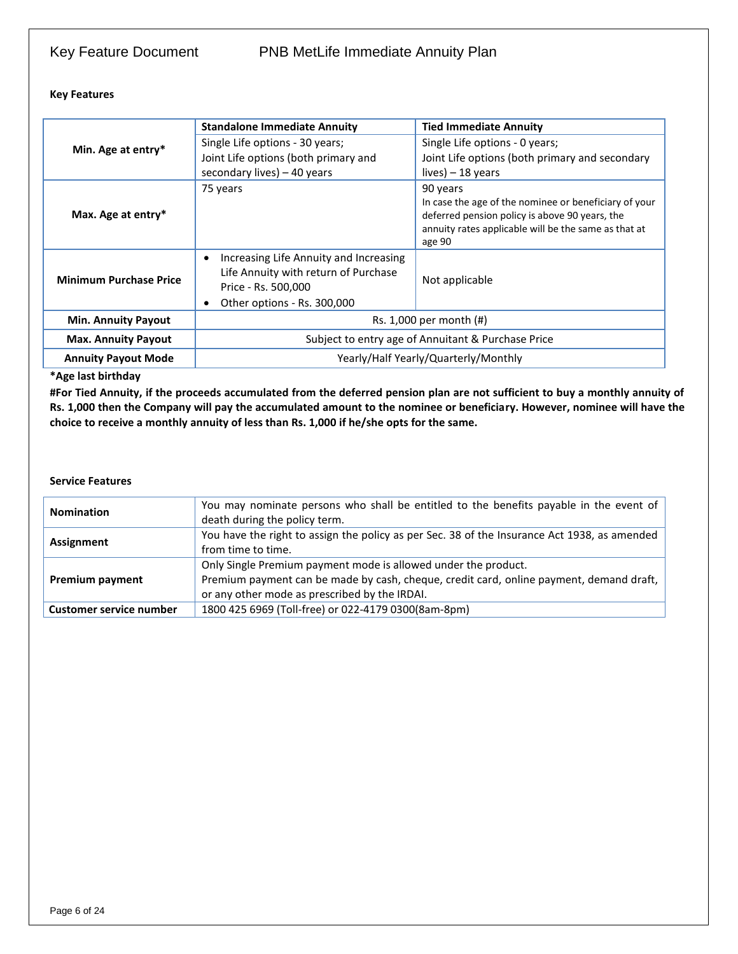### **Key Features**

|                               | <b>Standalone Immediate Annuity</b>                                                                                                            | <b>Tied Immediate Annuity</b>                                                                                                                                                         |
|-------------------------------|------------------------------------------------------------------------------------------------------------------------------------------------|---------------------------------------------------------------------------------------------------------------------------------------------------------------------------------------|
| Min. Age at entry*            | Single Life options - 30 years;                                                                                                                | Single Life options - 0 years;                                                                                                                                                        |
|                               | Joint Life options (both primary and                                                                                                           | Joint Life options (both primary and secondary                                                                                                                                        |
|                               | secondary lives) - 40 years                                                                                                                    | lives) $-18$ years                                                                                                                                                                    |
| Max. Age at entry*            | 75 years                                                                                                                                       | 90 years<br>In case the age of the nominee or beneficiary of your<br>deferred pension policy is above 90 years, the<br>annuity rates applicable will be the same as that at<br>age 90 |
| <b>Minimum Purchase Price</b> | Increasing Life Annuity and Increasing<br>٠<br>Life Annuity with return of Purchase<br>Price - Rs. 500,000<br>Other options - Rs. 300,000<br>٠ | Not applicable                                                                                                                                                                        |
| <b>Min. Annuity Payout</b>    | Rs. 1,000 per month (#)                                                                                                                        |                                                                                                                                                                                       |
| <b>Max. Annuity Payout</b>    | Subject to entry age of Annuitant & Purchase Price                                                                                             |                                                                                                                                                                                       |
| <b>Annuity Payout Mode</b>    | Yearly/Half Yearly/Quarterly/Monthly                                                                                                           |                                                                                                                                                                                       |

**\*Age last birthday**

**#For Tied Annuity, if the proceeds accumulated from the deferred pension plan are not sufficient to buy a monthly annuity of Rs. 1,000 then the Company will pay the accumulated amount to the nominee or beneficiary. However, nominee will have the choice to receive a monthly annuity of less than Rs. 1,000 if he/she opts for the same.**

#### **Service Features**

| <b>Nomination</b>              | You may nominate persons who shall be entitled to the benefits payable in the event of<br>death during the policy term.                                                                                    |
|--------------------------------|------------------------------------------------------------------------------------------------------------------------------------------------------------------------------------------------------------|
| Assignment                     | You have the right to assign the policy as per Sec. 38 of the Insurance Act 1938, as amended<br>from time to time.                                                                                         |
| Premium payment                | Only Single Premium payment mode is allowed under the product.<br>Premium payment can be made by cash, cheque, credit card, online payment, demand draft,<br>or any other mode as prescribed by the IRDAI. |
| <b>Customer service number</b> | 1800 425 6969 (Toll-free) or 022-4179 0300(8am-8pm)                                                                                                                                                        |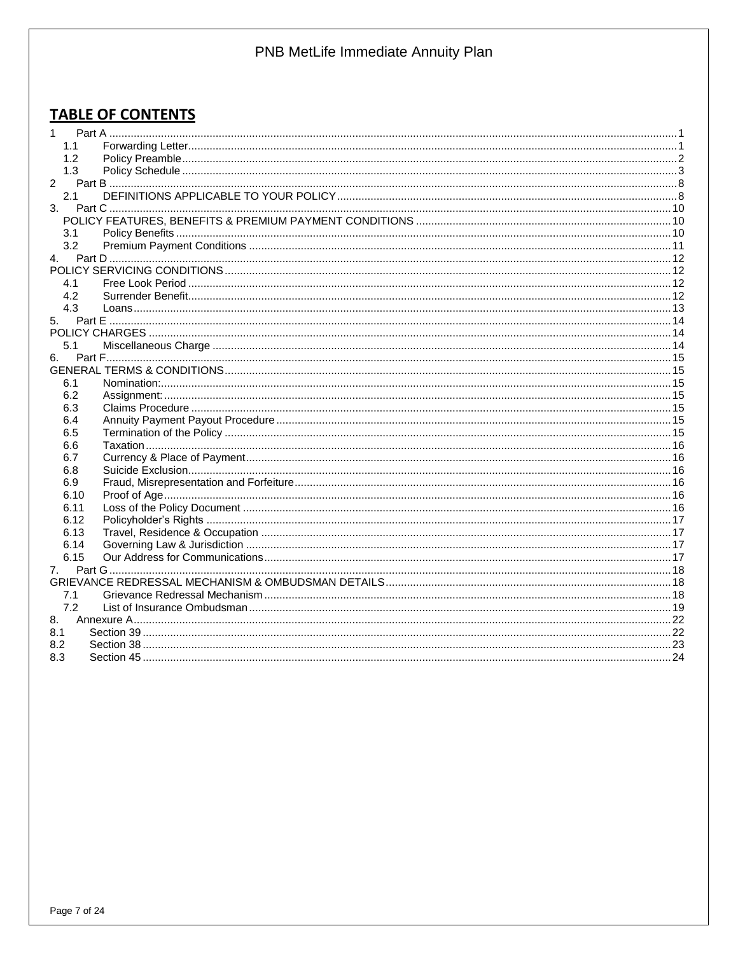# PNB MetLife Immediate Annuity Plan

# **TABLE OF CONTENTS**

| $\mathbf 1$    |  |
|----------------|--|
| 1.1            |  |
| 1.2            |  |
| 1.3            |  |
| $\overline{2}$ |  |
| 2.1            |  |
| 3.             |  |
|                |  |
| 3.1            |  |
| 3.2            |  |
|                |  |
|                |  |
| 4.1            |  |
| 4.2            |  |
| 4.3            |  |
|                |  |
|                |  |
| 5.1            |  |
|                |  |
|                |  |
| 6.1            |  |
| 6.2            |  |
| 6.3            |  |
| 6.4            |  |
| 6.5            |  |
| 6.6            |  |
| 6.7            |  |
| 6.8            |  |
| 6.9            |  |
| 6.10           |  |
| 6.11           |  |
| 6.12           |  |
| 6.13           |  |
| 6.14           |  |
| 6.15           |  |
| 7.             |  |
|                |  |
| 7.1            |  |
| 7.2            |  |
| 8.             |  |
| 8.1            |  |
| 8.2            |  |
| 8.3            |  |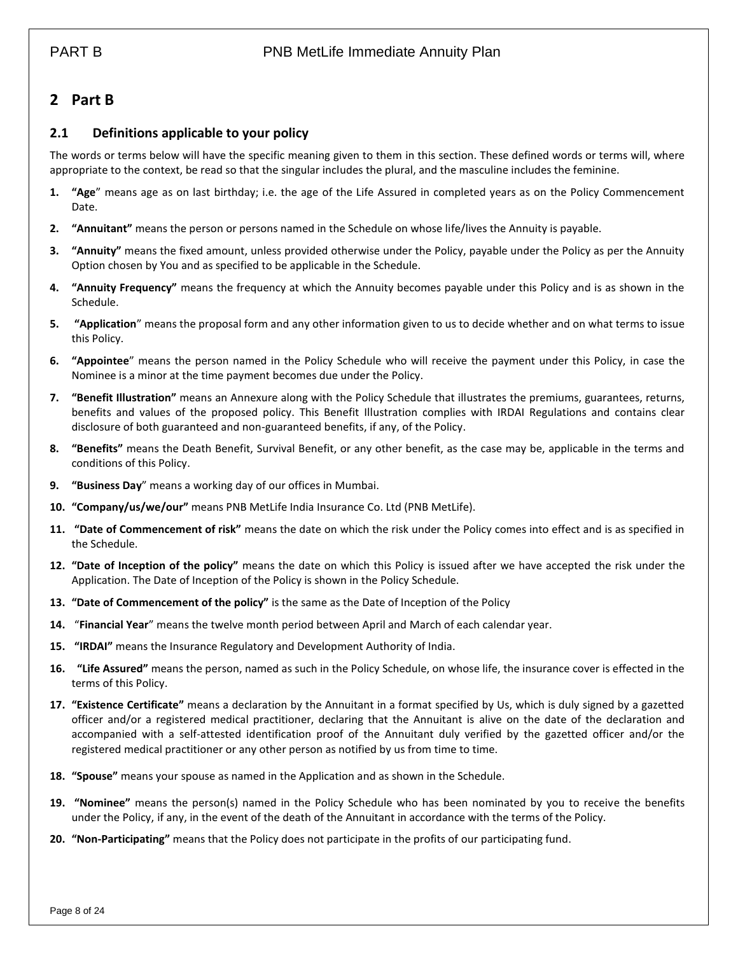# <span id="page-7-0"></span>**2 Part B**

## <span id="page-7-1"></span>**2.1 Definitions applicable to your policy**

The words or terms below will have the specific meaning given to them in this section. These defined words or terms will, where appropriate to the context, be read so that the singular includes the plural, and the masculine includes the feminine.

- **1. "Age**" means age as on last birthday; i.e. the age of the Life Assured in completed years as on the Policy Commencement Date.
- **2. "Annuitant"** means the person or persons named in the Schedule on whose life/lives the Annuity is payable.
- **3. "Annuity"** means the fixed amount, unless provided otherwise under the Policy, payable under the Policy as per the Annuity Option chosen by You and as specified to be applicable in the Schedule.
- **4. "Annuity Frequency"** means the frequency at which the Annuity becomes payable under this Policy and is as shown in the Schedule.
- **5. "Application**" means the proposal form and any other information given to us to decide whether and on what terms to issue this Policy.
- **6. "Appointee**" means the person named in the Policy Schedule who will receive the payment under this Policy, in case the Nominee is a minor at the time payment becomes due under the Policy.
- **7. "Benefit Illustration"** means an Annexure along with the Policy Schedule that illustrates the premiums, guarantees, returns, benefits and values of the proposed policy. This Benefit Illustration complies with IRDAI Regulations and contains clear disclosure of both guaranteed and non-guaranteed benefits, if any, of the Policy.
- **8. "Benefits"** means the Death Benefit, Survival Benefit, or any other benefit, as the case may be, applicable in the terms and conditions of this Policy.
- **9. "Business Day**" means a working day of our offices in Mumbai.
- **10. "Company/us/we/our"** means PNB MetLife India Insurance Co. Ltd (PNB MetLife).
- **11. "Date of Commencement of risk"** means the date on which the risk under the Policy comes into effect and is as specified in the Schedule.
- **12. "Date of Inception of the policy"** means the date on which this Policy is issued after we have accepted the risk under the Application. The Date of Inception of the Policy is shown in the Policy Schedule.
- **13. "Date of Commencement of the policy"** is the same as the Date of Inception of the Policy
- **14.** "**Financial Year**" means the twelve month period between April and March of each calendar year.
- **15. "IRDAI"** means the Insurance Regulatory and Development Authority of India.
- **16. "Life Assured"** means the person, named as such in the Policy Schedule, on whose life, the insurance cover is effected in the terms of this Policy.
- **17. "Existence Certificate"** means a declaration by the Annuitant in a format specified by Us, which is duly signed by a gazetted officer and/or a registered medical practitioner, declaring that the Annuitant is alive on the date of the declaration and accompanied with a self-attested identification proof of the Annuitant duly verified by the gazetted officer and/or the registered medical practitioner or any other person as notified by us from time to time.
- **18. "Spouse"** means your spouse as named in the Application and as shown in the Schedule.
- **19. "Nominee"** means the person(s) named in the Policy Schedule who has been nominated by you to receive the benefits under the Policy, if any, in the event of the death of the Annuitant in accordance with the terms of the Policy.
- **20. "Non-Participating"** means that the Policy does not participate in the profits of our participating fund.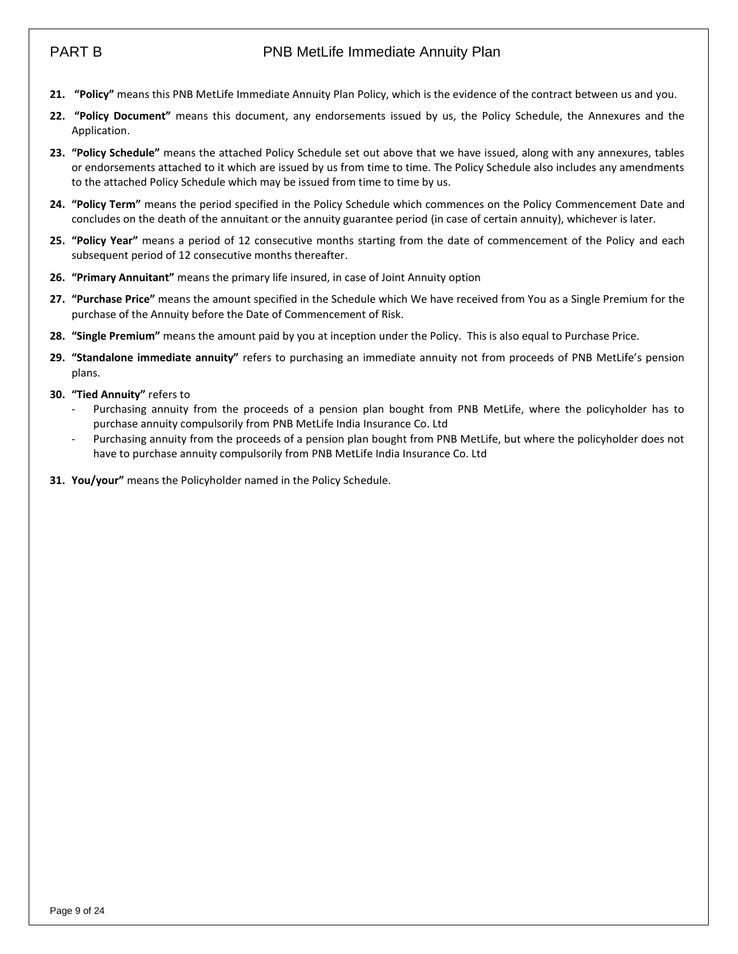# PART B PART B POINT POINT POINT PRESENTED THE PART B

- **21. "Policy"** means this PNB MetLife Immediate Annuity Plan Policy, which is the evidence of the contract between us and you.
- **22. "Policy Document"** means this document, any endorsements issued by us, the Policy Schedule, the Annexures and the Application.
- **23. "Policy Schedule"** means the attached Policy Schedule set out above that we have issued, along with any annexures, tables or endorsements attached to it which are issued by us from time to time. The Policy Schedule also includes any amendments to the attached Policy Schedule which may be issued from time to time by us.
- **24. "Policy Term"** means the period specified in the Policy Schedule which commences on the Policy Commencement Date and concludes on the death of the annuitant or the annuity guarantee period (in case of certain annuity), whichever is later.
- **25. "Policy Year"** means a period of 12 consecutive months starting from the date of commencement of the Policy and each subsequent period of 12 consecutive months thereafter.
- **26. "Primary Annuitant"** means the primary life insured, in case of Joint Annuity option
- **27. "Purchase Price"** means the amount specified in the Schedule which We have received from You as a Single Premium for the purchase of the Annuity before the Date of Commencement of Risk.
- **28. "Single Premium"** means the amount paid by you at inception under the Policy. This is also equal to Purchase Price.
- **29. "Standalone immediate annuity"** refers to purchasing an immediate annuity not from proceeds of PNB MetLife's pension plans.
- **30. "Tied Annuity"** refers to
	- Purchasing annuity from the proceeds of a pension plan bought from PNB MetLife, where the policyholder has to purchase annuity compulsorily from PNB MetLife India Insurance Co. Ltd
	- Purchasing annuity from the proceeds of a pension plan bought from PNB MetLife, but where the policyholder does not have to purchase annuity compulsorily from PNB MetLife India Insurance Co. Ltd
- **31. You/your"** means the Policyholder named in the Policy Schedule.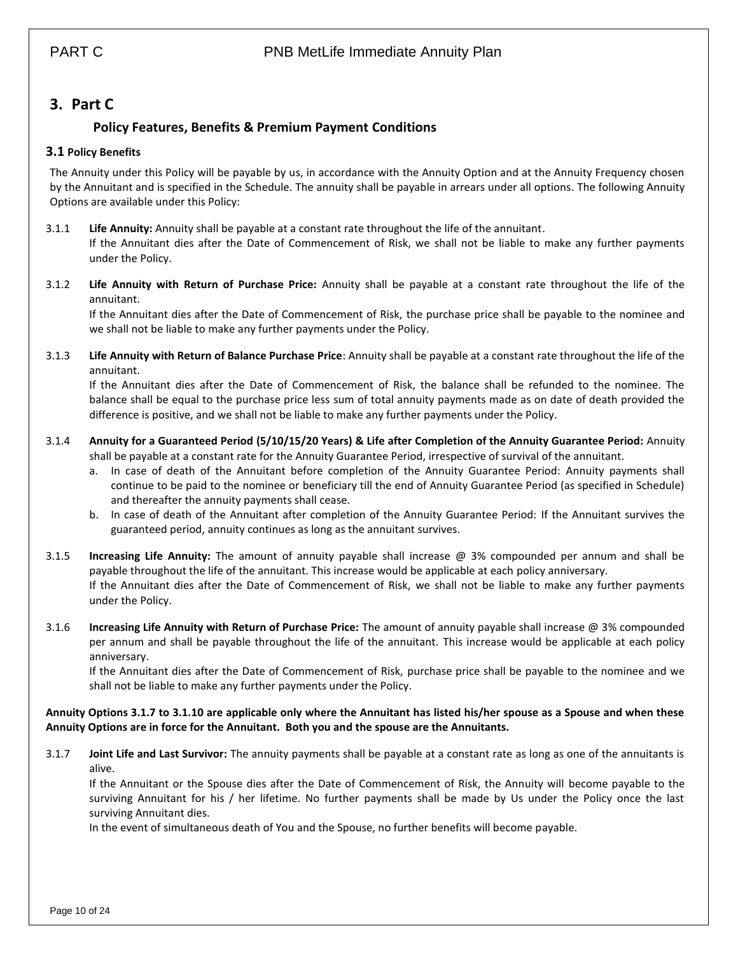# <span id="page-9-1"></span><span id="page-9-0"></span>**3. Part C**

## **Policy Features, Benefits & Premium Payment Conditions**

## <span id="page-9-2"></span>**3.1 Policy Benefits**

The Annuity under this Policy will be payable by us, in accordance with the Annuity Option and at the Annuity Frequency chosen by the Annuitant and is specified in the Schedule. The annuity shall be payable in arrears under all options. The following Annuity Options are available under this Policy:

3.1.1 **Life Annuity:** Annuity shall be payable at a constant rate throughout the life of the annuitant. If the Annuitant dies after the Date of Commencement of Risk, we shall not be liable to make any further payments under the Policy.

3.1.2 **Life Annuity with Return of Purchase Price:** Annuity shall be payable at a constant rate throughout the life of the annuitant.

If the Annuitant dies after the Date of Commencement of Risk, the purchase price shall be payable to the nominee and we shall not be liable to make any further payments under the Policy.

3.1.3 **Life Annuity with Return of Balance Purchase Price**: Annuity shall be payable at a constant rate throughout the life of the annuitant.

If the Annuitant dies after the Date of Commencement of Risk, the balance shall be refunded to the nominee. The balance shall be equal to the purchase price less sum of total annuity payments made as on date of death provided the difference is positive, and we shall not be liable to make any further payments under the Policy.

- 3.1.4 **Annuity for a Guaranteed Period (5/10/15/20 Years) & Life after Completion of the Annuity Guarantee Period:** Annuity shall be payable at a constant rate for the Annuity Guarantee Period, irrespective of survival of the annuitant.
	- a. In case of death of the Annuitant before completion of the Annuity Guarantee Period: Annuity payments shall continue to be paid to the nominee or beneficiary till the end of Annuity Guarantee Period (as specified in Schedule) and thereafter the annuity payments shall cease.
	- b. In case of death of the Annuitant after completion of the Annuity Guarantee Period: If the Annuitant survives the guaranteed period, annuity continues as long as the annuitant survives.

3.1.5 **Increasing Life Annuity:** The amount of annuity payable shall increase @ 3% compounded per annum and shall be payable throughout the life of the annuitant. This increase would be applicable at each policy anniversary. If the Annuitant dies after the Date of Commencement of Risk, we shall not be liable to make any further payments under the Policy.

3.1.6 **Increasing Life Annuity with Return of Purchase Price:** The amount of annuity payable shall increase @ 3% compounded per annum and shall be payable throughout the life of the annuitant. This increase would be applicable at each policy anniversary.

If the Annuitant dies after the Date of Commencement of Risk, purchase price shall be payable to the nominee and we shall not be liable to make any further payments under the Policy.

### **Annuity Options 3.1.7 to 3.1.10 are applicable only where the Annuitant has listed his/her spouse as a Spouse and when these Annuity Options are in force for the Annuitant. Both you and the spouse are the Annuitants.**

3.1.7 **Joint Life and Last Survivor:** The annuity payments shall be payable at a constant rate as long as one of the annuitants is alive.

If the Annuitant or the Spouse dies after the Date of Commencement of Risk, the Annuity will become payable to the surviving Annuitant for his / her lifetime. No further payments shall be made by Us under the Policy once the last surviving Annuitant dies.

In the event of simultaneous death of You and the Spouse, no further benefits will become payable.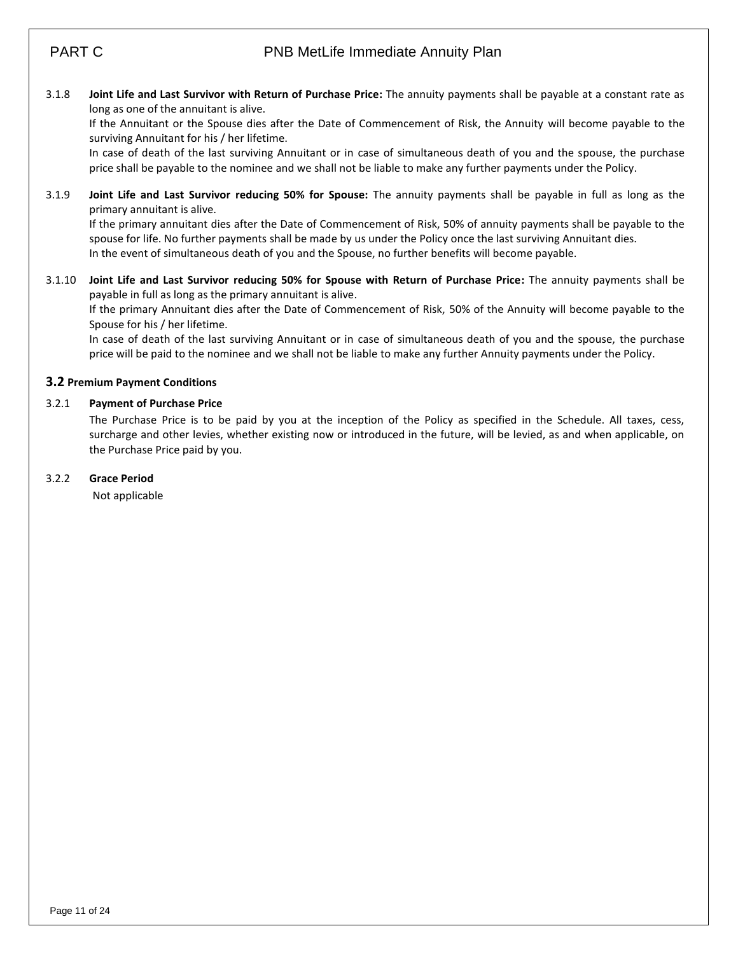3.1.8 **Joint Life and Last Survivor with Return of Purchase Price:** The annuity payments shall be payable at a constant rate as long as one of the annuitant is alive.

If the Annuitant or the Spouse dies after the Date of Commencement of Risk, the Annuity will become payable to the surviving Annuitant for his / her lifetime.

In case of death of the last surviving Annuitant or in case of simultaneous death of you and the spouse, the purchase price shall be payable to the nominee and we shall not be liable to make any further payments under the Policy.

3.1.9 **Joint Life and Last Survivor reducing 50% for Spouse:** The annuity payments shall be payable in full as long as the primary annuitant is alive.

If the primary annuitant dies after the Date of Commencement of Risk, 50% of annuity payments shall be payable to the spouse for life. No further payments shall be made by us under the Policy once the last surviving Annuitant dies. In the event of simultaneous death of you and the Spouse, no further benefits will become payable.

3.1.10 **Joint Life and Last Survivor reducing 50% for Spouse with Return of Purchase Price:** The annuity payments shall be payable in full as long as the primary annuitant is alive.

If the primary Annuitant dies after the Date of Commencement of Risk, 50% of the Annuity will become payable to the Spouse for his / her lifetime.

In case of death of the last surviving Annuitant or in case of simultaneous death of you and the spouse, the purchase price will be paid to the nominee and we shall not be liable to make any further Annuity payments under the Policy.

#### <span id="page-10-0"></span>**3.2 Premium Payment Conditions**

#### 3.2.1 **Payment of Purchase Price**

The Purchase Price is to be paid by you at the inception of the Policy as specified in the Schedule. All taxes, cess, surcharge and other levies, whether existing now or introduced in the future, will be levied, as and when applicable, on the Purchase Price paid by you.

#### 3.2.2 **Grace Period**

Not applicable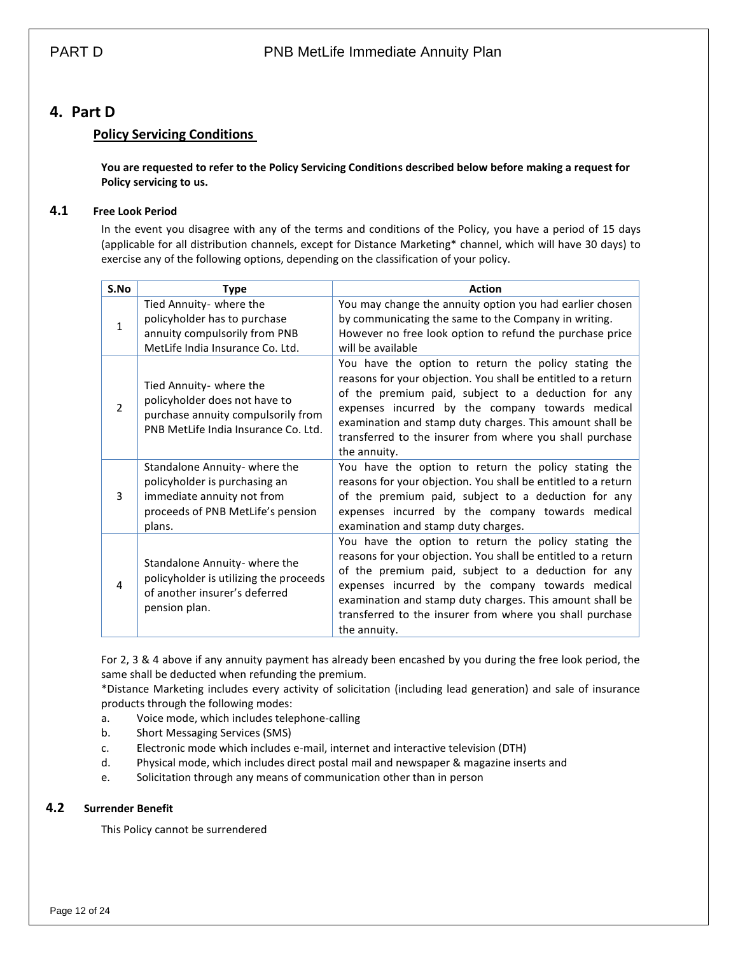## <span id="page-11-1"></span><span id="page-11-0"></span>**4. Part D**

## **Policy Servicing Conditions**

**You are requested to refer to the Policy Servicing Conditions described below before making a request for Policy servicing to us.**

### <span id="page-11-2"></span>**4.1 Free Look Period**

In the event you disagree with any of the terms and conditions of the Policy, you have a period of 15 days (applicable for all distribution channels, except for Distance Marketing\* channel, which will have 30 days) to exercise any of the following options, depending on the classification of your policy.

| S.No           | Type                                                                                                                                        | <b>Action</b>                                                                                                                                                                                                                                                                                                                                                            |
|----------------|---------------------------------------------------------------------------------------------------------------------------------------------|--------------------------------------------------------------------------------------------------------------------------------------------------------------------------------------------------------------------------------------------------------------------------------------------------------------------------------------------------------------------------|
| $\mathbf{1}$   | Tied Annuity- where the<br>policyholder has to purchase<br>annuity compulsorily from PNB<br>MetLife India Insurance Co. Ltd.                | You may change the annuity option you had earlier chosen<br>by communicating the same to the Company in writing.<br>However no free look option to refund the purchase price<br>will be available                                                                                                                                                                        |
| $\overline{2}$ | Tied Annuity- where the<br>policyholder does not have to<br>purchase annuity compulsorily from<br>PNB MetLife India Insurance Co. Ltd.      | You have the option to return the policy stating the<br>reasons for your objection. You shall be entitled to a return<br>of the premium paid, subject to a deduction for any<br>expenses incurred by the company towards medical<br>examination and stamp duty charges. This amount shall be<br>transferred to the insurer from where you shall purchase<br>the annuity. |
| 3              | Standalone Annuity- where the<br>policyholder is purchasing an<br>immediate annuity not from<br>proceeds of PNB MetLife's pension<br>plans. | You have the option to return the policy stating the<br>reasons for your objection. You shall be entitled to a return<br>of the premium paid, subject to a deduction for any<br>expenses incurred by the company towards medical<br>examination and stamp duty charges.                                                                                                  |
| 4              | Standalone Annuity- where the<br>policyholder is utilizing the proceeds<br>of another insurer's deferred<br>pension plan.                   | You have the option to return the policy stating the<br>reasons for your objection. You shall be entitled to a return<br>of the premium paid, subject to a deduction for any<br>expenses incurred by the company towards medical<br>examination and stamp duty charges. This amount shall be<br>transferred to the insurer from where you shall purchase<br>the annuity. |

For 2, 3 & 4 above if any annuity payment has already been encashed by you during the free look period, the same shall be deducted when refunding the premium.

\*Distance Marketing includes every activity of solicitation (including lead generation) and sale of insurance products through the following modes:

- a. Voice mode, which includes telephone-calling
- b. Short Messaging Services (SMS)
- c. Electronic mode which includes e-mail, internet and interactive television (DTH)
- d. Physical mode, which includes direct postal mail and newspaper & magazine inserts and
- e. Solicitation through any means of communication other than in person

## <span id="page-11-3"></span>**4.2 Surrender Benefit**

This Policy cannot be surrendered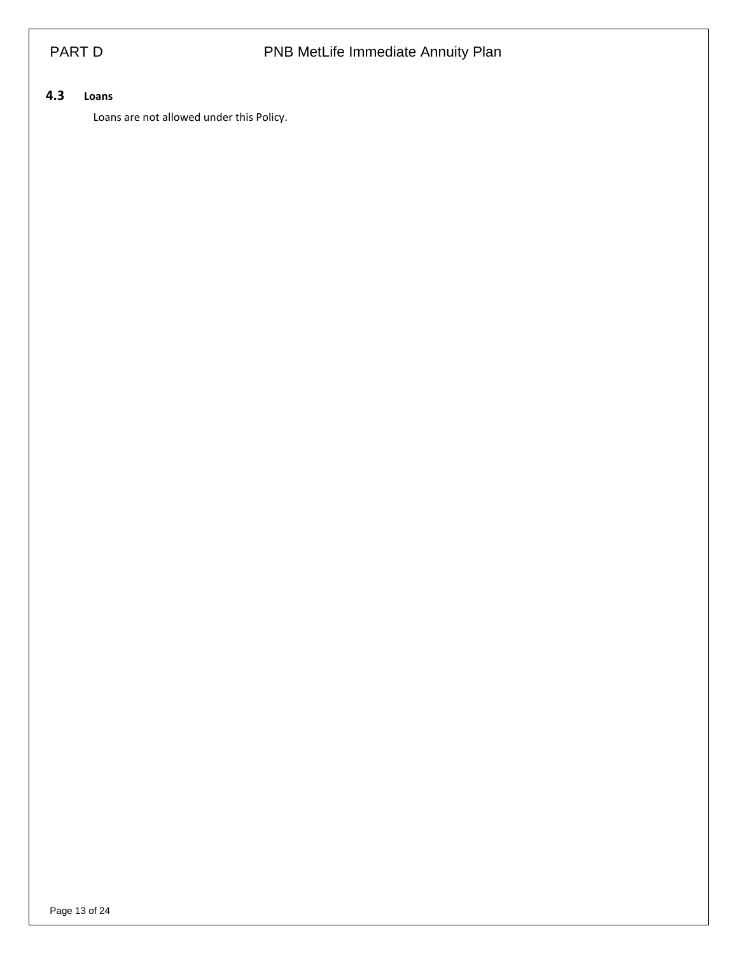# PART D **PART D** PNB MetLife Immediate Annuity Plan

## <span id="page-12-0"></span>**4.3 Loans**

Loans are not allowed under this Policy.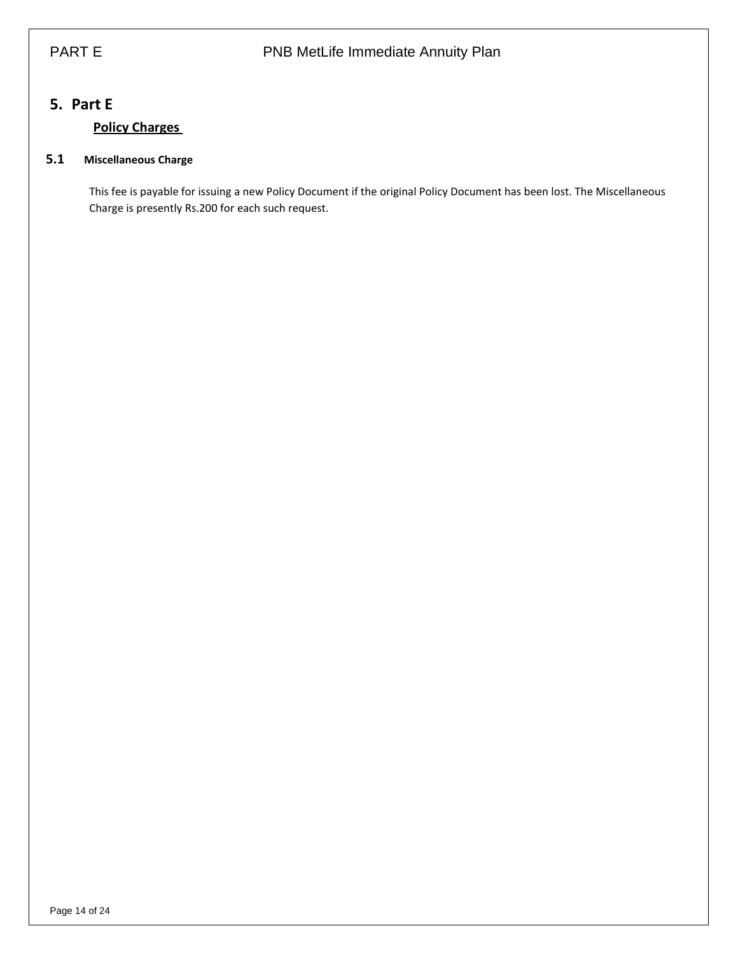## <span id="page-13-1"></span><span id="page-13-0"></span>**5. Part E**

## **Policy Charges**

## <span id="page-13-2"></span>**5.1 Miscellaneous Charge**

This fee is payable for issuing a new Policy Document if the original Policy Document has been lost. The Miscellaneous Charge is presently Rs.200 for each such request.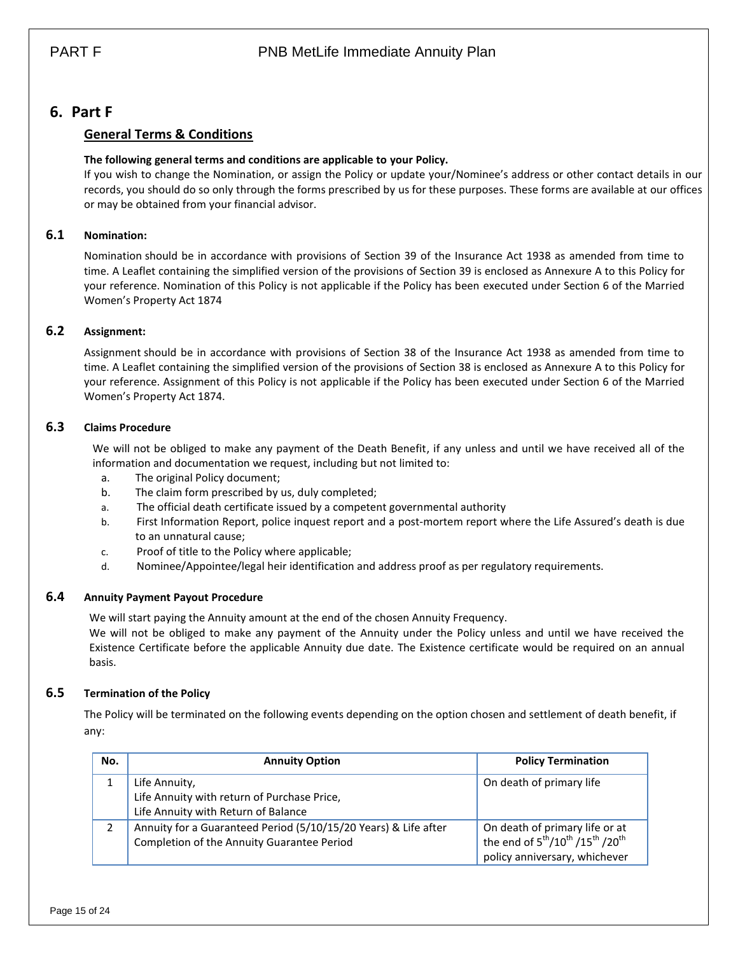## <span id="page-14-1"></span><span id="page-14-0"></span>**6. Part F**

## **General Terms & Conditions**

## **The following general terms and conditions are applicable to your Policy.**

If you wish to change the Nomination, or assign the Policy or update your/Nominee's address or other contact details in our records, you should do so only through the forms prescribed by us for these purposes. These forms are available at our offices or may be obtained from your financial advisor.

## <span id="page-14-2"></span>**6.1 Nomination:**

Nomination should be in accordance with provisions of Section 39 of the Insurance Act 1938 as amended from time to time. A Leaflet containing the simplified version of the provisions of Section 39 is enclosed as Annexure A to this Policy for your reference. Nomination of this Policy is not applicable if the Policy has been executed under Section 6 of the Married Women's Property Act 1874

## <span id="page-14-3"></span>**6.2 Assignment:**

Assignment should be in accordance with provisions of Section 38 of the Insurance Act 1938 as amended from time to time. A Leaflet containing the simplified version of the provisions of Section 38 is enclosed as Annexure A to this Policy for your reference. Assignment of this Policy is not applicable if the Policy has been executed under Section 6 of the Married Women's Property Act 1874.

## <span id="page-14-4"></span>**6.3 Claims Procedure**

We will not be obliged to make any payment of the Death Benefit, if any unless and until we have received all of the information and documentation we request, including but not limited to:

- a. The original Policy document;
- b. The claim form prescribed by us, duly completed;
- a. The official death certificate issued by a competent governmental authority
- b. First Information Report, police inquest report and a post-mortem report where the Life Assured's death is due to an unnatural cause;
- c. Proof of title to the Policy where applicable;
- d. Nominee/Appointee/legal heir identification and address proof as per regulatory requirements.

## <span id="page-14-5"></span>**6.4 Annuity Payment Payout Procedure**

We will start paying the Annuity amount at the end of the chosen Annuity Frequency.

We will not be obliged to make any payment of the Annuity under the Policy unless and until we have received the Existence Certificate before the applicable Annuity due date. The Existence certificate would be required on an annual basis.

## <span id="page-14-6"></span>**6.5 Termination of the Policy**

The Policy will be terminated on the following events depending on the option chosen and settlement of death benefit, if any:

| No. | <b>Annuity Option</b>                                                                                         | <b>Policy Termination</b>                                                                                      |
|-----|---------------------------------------------------------------------------------------------------------------|----------------------------------------------------------------------------------------------------------------|
|     | Life Annuity,<br>Life Annuity with return of Purchase Price,<br>Life Annuity with Return of Balance           | On death of primary life                                                                                       |
|     | Annuity for a Guaranteed Period (5/10/15/20 Years) & Life after<br>Completion of the Annuity Guarantee Period | On death of primary life or at<br>the end of $5^{th}/10^{th}/15^{th}/20^{th}$<br>policy anniversary, whichever |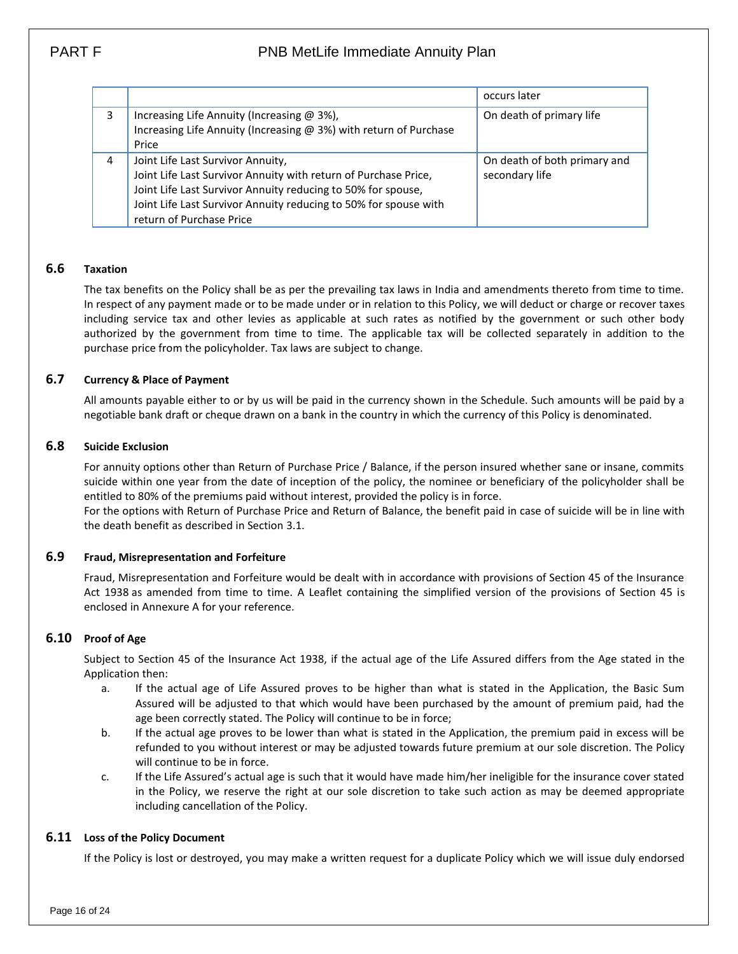## PART F PART PUB MetLife Immediate Annuity Plan

|   |                                                                                                                                                                                                                                                                      | occurs later                                   |
|---|----------------------------------------------------------------------------------------------------------------------------------------------------------------------------------------------------------------------------------------------------------------------|------------------------------------------------|
| 3 | Increasing Life Annuity (Increasing @ 3%),<br>Increasing Life Annuity (Increasing @ 3%) with return of Purchase<br>Price                                                                                                                                             | On death of primary life                       |
| 4 | Joint Life Last Survivor Annuity,<br>Joint Life Last Survivor Annuity with return of Purchase Price,<br>Joint Life Last Survivor Annuity reducing to 50% for spouse,<br>Joint Life Last Survivor Annuity reducing to 50% for spouse with<br>return of Purchase Price | On death of both primary and<br>secondary life |

### <span id="page-15-0"></span>**6.6 Taxation**

The tax benefits on the Policy shall be as per the prevailing tax laws in India and amendments thereto from time to time. In respect of any payment made or to be made under or in relation to this Policy, we will deduct or charge or recover taxes including service tax and other levies as applicable at such rates as notified by the government or such other body authorized by the government from time to time. The applicable tax will be collected separately in addition to the purchase price from the policyholder. Tax laws are subject to change.

#### <span id="page-15-1"></span>**6.7 Currency & Place of Payment**

All amounts payable either to or by us will be paid in the currency shown in the Schedule. Such amounts will be paid by a negotiable bank draft or cheque drawn on a bank in the country in which the currency of this Policy is denominated.

### <span id="page-15-2"></span>**6.8 Suicide Exclusion**

For annuity options other than Return of Purchase Price / Balance, if the person insured whether sane or insane, commits suicide within one year from the date of inception of the policy, the nominee or beneficiary of the policyholder shall be entitled to 80% of the premiums paid without interest, provided the policy is in force.

For the options with Return of Purchase Price and Return of Balance, the benefit paid in case of suicide will be in line with the death benefit as described in Section 3.1.

#### <span id="page-15-3"></span>**6.9 Fraud, Misrepresentation and Forfeiture**

Fraud, Misrepresentation and Forfeiture would be dealt with in accordance with provisions of Section 45 of the Insurance Act 1938 as amended from time to time. A Leaflet containing the simplified version of the provisions of Section 45 is enclosed in Annexure A for your reference.

#### <span id="page-15-4"></span>**6.10 Proof of Age**

Subject to Section 45 of the Insurance Act 1938, if the actual age of the Life Assured differs from the Age stated in the Application then:

- a. If the actual age of Life Assured proves to be higher than what is stated in the Application, the Basic Sum Assured will be adjusted to that which would have been purchased by the amount of premium paid, had the age been correctly stated. The Policy will continue to be in force;
- b. If the actual age proves to be lower than what is stated in the Application, the premium paid in excess will be refunded to you without interest or may be adjusted towards future premium at our sole discretion. The Policy will continue to be in force.
- c. If the Life Assured's actual age is such that it would have made him/her ineligible for the insurance cover stated in the Policy, we reserve the right at our sole discretion to take such action as may be deemed appropriate including cancellation of the Policy.

## <span id="page-15-5"></span>**6.11 Loss of the Policy Document**

If the Policy is lost or destroyed, you may make a written request for a duplicate Policy which we will issue duly endorsed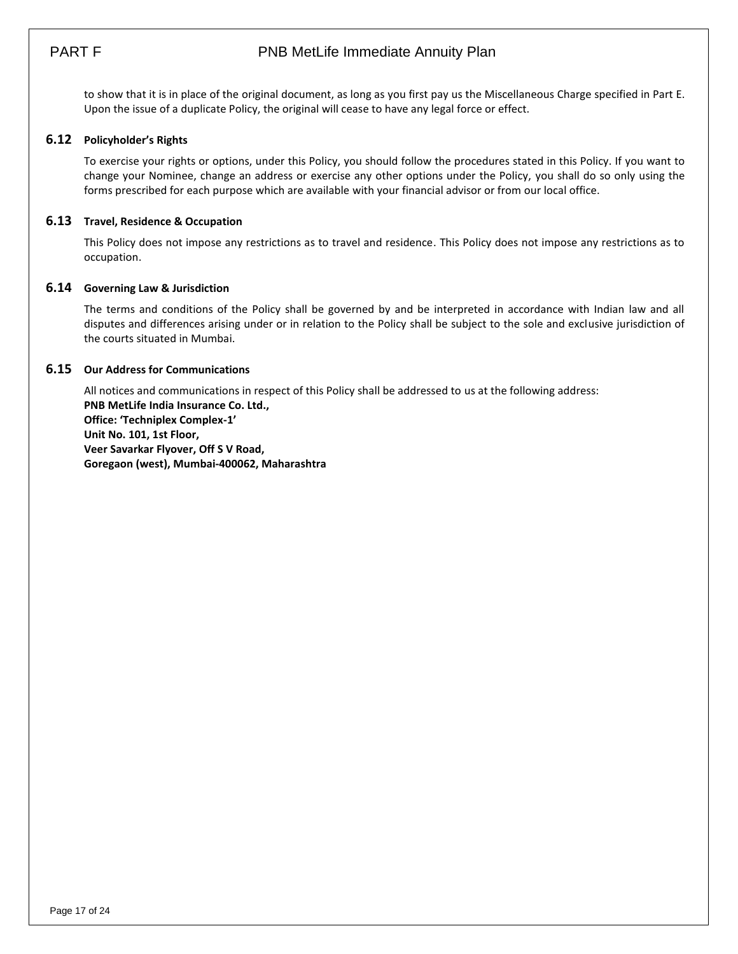to show that it is in place of the original document, as long as you first pay us the Miscellaneous Charge specified in Part E. Upon the issue of a duplicate Policy, the original will cease to have any legal force or effect.

### <span id="page-16-0"></span>**6.12 Policyholder's Rights**

To exercise your rights or options, under this Policy, you should follow the procedures stated in this Policy. If you want to change your Nominee, change an address or exercise any other options under the Policy, you shall do so only using the forms prescribed for each purpose which are available with your financial advisor or from our local office.

### <span id="page-16-1"></span>**6.13 Travel, Residence & Occupation**

This Policy does not impose any restrictions as to travel and residence. This Policy does not impose any restrictions as to occupation.

### <span id="page-16-2"></span>**6.14 Governing Law & Jurisdiction**

The terms and conditions of the Policy shall be governed by and be interpreted in accordance with Indian law and all disputes and differences arising under or in relation to the Policy shall be subject to the sole and exclusive jurisdiction of the courts situated in Mumbai.

### <span id="page-16-3"></span>**6.15 Our Address for Communications**

All notices and communications in respect of this Policy shall be addressed to us at the following address: **PNB MetLife India Insurance Co. Ltd., Office: 'Techniplex Complex-1' Unit No. 101, 1st Floor, Veer Savarkar Flyover, Off S V Road, Goregaon (west), Mumbai-400062, Maharashtra**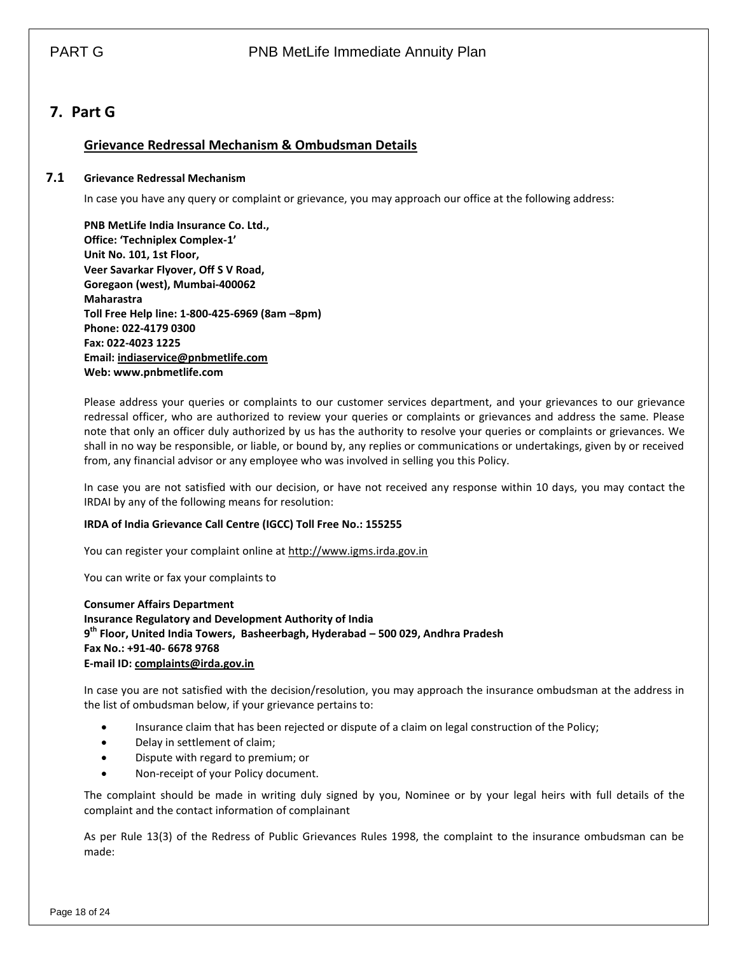# <span id="page-17-1"></span><span id="page-17-0"></span>**7. Part G**

## **Grievance Redressal Mechanism & Ombudsman Details**

### <span id="page-17-2"></span>**7.1 Grievance Redressal Mechanism**

In case you have any query or complaint or grievance, you may approach our office at the following address:

**PNB MetLife India Insurance Co. Ltd., Office: 'Techniplex Complex-1' Unit No. 101, 1st Floor, Veer Savarkar Flyover, Off S V Road, Goregaon (west), Mumbai-400062 Maharastra Toll Free Help line: 1-800-425-6969 (8am –8pm) Phone: 022-4179 0300 Fax: 022-4023 1225 Email[: indiaservice@pnbmetlife.com](mailto:indiaservice@pnbmetlife.com) Web: www.pnbmetlife.com** 

Please address your queries or complaints to our customer services department, and your grievances to our grievance redressal officer, who are authorized to review your queries or complaints or grievances and address the same. Please note that only an officer duly authorized by us has the authority to resolve your queries or complaints or grievances. We shall in no way be responsible, or liable, or bound by, any replies or communications or undertakings, given by or received from, any financial advisor or any employee who was involved in selling you this Policy.

In case you are not satisfied with our decision, or have not received any response within 10 days, you may contact the IRDAI by any of the following means for resolution:

#### **IRDA of India Grievance Call Centre (IGCC) Toll Free No.: 155255**

You can register your complaint online at [http://www.igms.irda.gov.in](http://www.igms.irda.gov.in/)

You can write or fax your complaints to

**Consumer Affairs Department Insurance Regulatory and Development Authority of India 9 th Floor, United India Towers, Basheerbagh, Hyderabad – 500 029, Andhra Pradesh Fax No.: +91-40- 6678 9768 E-mail ID: [complaints@irda.gov.in](mailto:complaints@irda.gov.in)**

In case you are not satisfied with the decision/resolution, you may approach the insurance ombudsman at the address in the list of ombudsman below, if your grievance pertains to:

- Insurance claim that has been rejected or dispute of a claim on legal construction of the Policy;
- Delay in settlement of claim;
- Dispute with regard to premium; or
- Non-receipt of your Policy document.

The complaint should be made in writing duly signed by you, Nominee or by your legal heirs with full details of the complaint and the contact information of complainant

As per Rule 13(3) of the Redress of Public Grievances Rules 1998, the complaint to the insurance ombudsman can be made: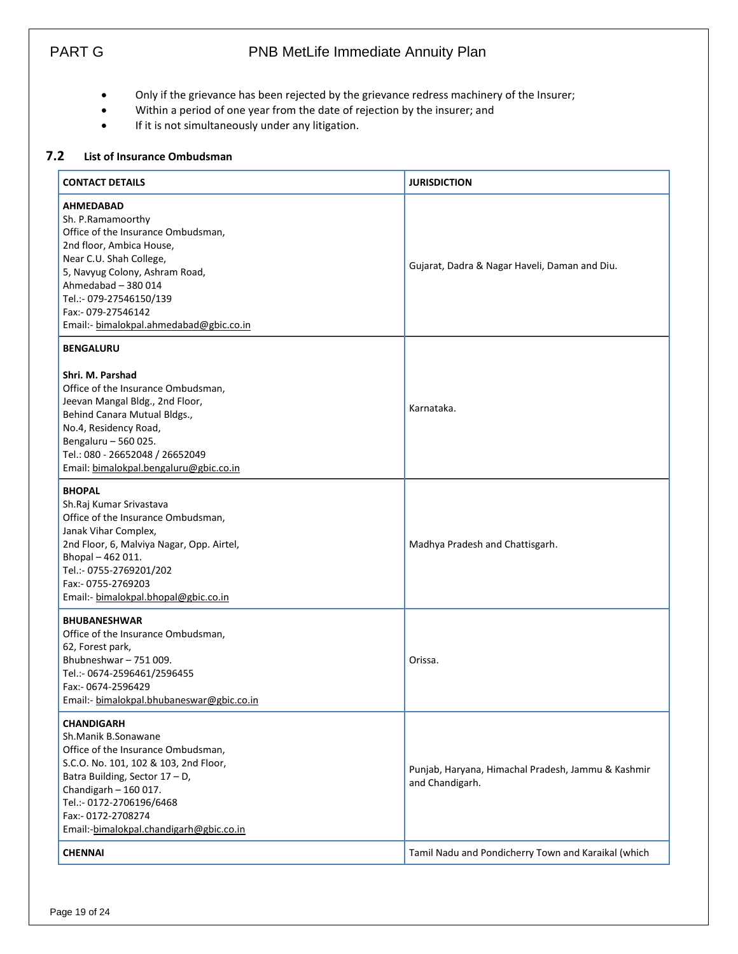# PART G **PART G** PNB MetLife Immediate Annuity Plan

- Only if the grievance has been rejected by the grievance redress machinery of the Insurer;
- Within a period of one year from the date of rejection by the insurer; and
- If it is not simultaneously under any litigation.

## <span id="page-18-0"></span>**7.2 List of Insurance Ombudsman**

| <b>CONTACT DETAILS</b>                                                                                                                                                                                                                                                                  | <b>JURISDICTION</b>                                                   |
|-----------------------------------------------------------------------------------------------------------------------------------------------------------------------------------------------------------------------------------------------------------------------------------------|-----------------------------------------------------------------------|
| <b>AHMEDABAD</b><br>Sh. P.Ramamoorthy<br>Office of the Insurance Ombudsman,<br>2nd floor, Ambica House,<br>Near C.U. Shah College,<br>5, Navyug Colony, Ashram Road,<br>Ahmedabad - 380 014<br>Tel.:- 079-27546150/139<br>Fax:- 079-27546142<br>Email:- bimalokpal.ahmedabad@gbic.co.in | Gujarat, Dadra & Nagar Haveli, Daman and Diu.                         |
| <b>BENGALURU</b>                                                                                                                                                                                                                                                                        |                                                                       |
| Shri. M. Parshad<br>Office of the Insurance Ombudsman,<br>Jeevan Mangal Bldg., 2nd Floor,<br>Behind Canara Mutual Bldgs.,<br>No.4, Residency Road,<br>Bengaluru - 560 025.<br>Tel.: 080 - 26652048 / 26652049<br>Email: bimalokpal.bengaluru@gbic.co.in                                 | Karnataka.                                                            |
| <b>BHOPAL</b><br>Sh.Raj Kumar Srivastava<br>Office of the Insurance Ombudsman,<br>Janak Vihar Complex,<br>2nd Floor, 6, Malviya Nagar, Opp. Airtel,<br>Bhopal-462011.<br>Tel.:- 0755-2769201/202<br>Fax:- 0755-2769203<br>Email:- bimalokpal.bhopal@gbic.co.in                          | Madhya Pradesh and Chattisgarh.                                       |
| <b>BHUBANESHWAR</b><br>Office of the Insurance Ombudsman,<br>62, Forest park,<br>Bhubneshwar-751009.<br>Tel.:- 0674-2596461/2596455<br>Fax:- 0674-2596429<br>Email:- bimalokpal.bhubaneswar@gbic.co.in                                                                                  | Orissa.                                                               |
| <b>CHANDIGARH</b><br>Sh.Manik B.Sonawane<br>Office of the Insurance Ombudsman,<br>S.C.O. No. 101, 102 & 103, 2nd Floor,<br>Batra Building, Sector 17 - D,<br>Chandigarh $-160017$ .<br>Tel.:- 0172-2706196/6468<br>Fax:- 0172-2708274<br>Email:-bimalokpal.chandigarh@gbic.co.in        | Punjab, Haryana, Himachal Pradesh, Jammu & Kashmir<br>and Chandigarh. |
| <b>CHENNAI</b>                                                                                                                                                                                                                                                                          | Tamil Nadu and Pondicherry Town and Karaikal (which                   |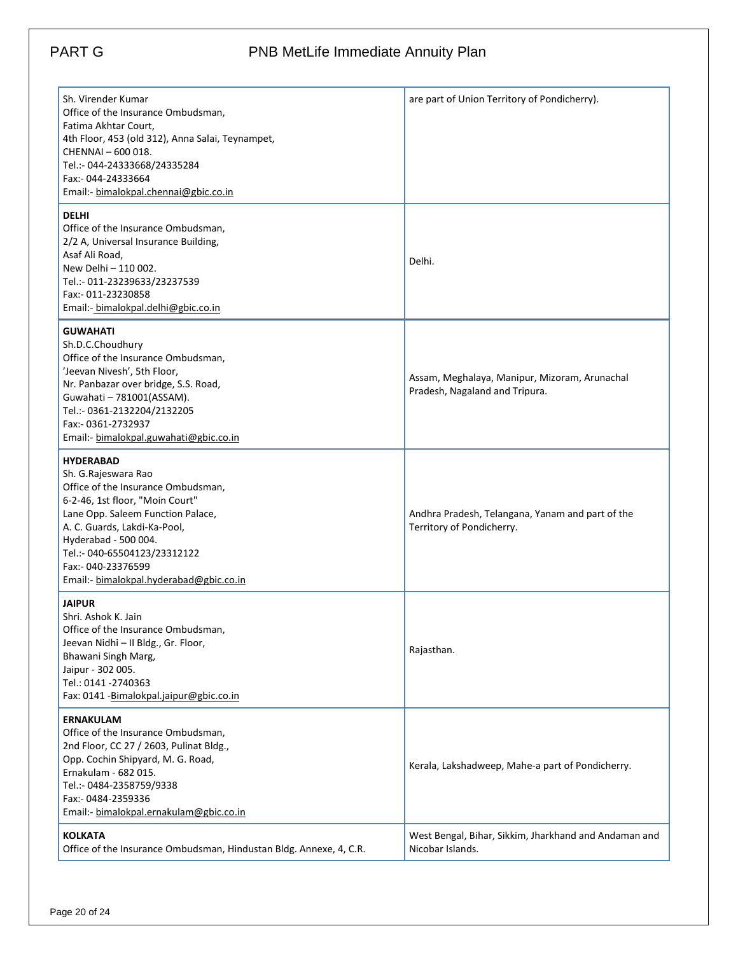| Sh. Virender Kumar<br>Office of the Insurance Ombudsman,<br>Fatima Akhtar Court,<br>4th Floor, 453 (old 312), Anna Salai, Teynampet,<br>CHENNAI - 600 018.<br>Tel.:- 044-24333668/24335284<br>Fax:- 044-24333664<br>Email:- bimalokpal.chennai@gbic.co.in                                                      | are part of Union Territory of Pondicherry).                                    |
|----------------------------------------------------------------------------------------------------------------------------------------------------------------------------------------------------------------------------------------------------------------------------------------------------------------|---------------------------------------------------------------------------------|
| DELHI<br>Office of the Insurance Ombudsman,<br>2/2 A, Universal Insurance Building,<br>Asaf Ali Road,<br>New Delhi - 110 002.<br>Tel.:- 011-23239633/23237539<br>Fax:- 011-23230858<br>Email:- bimalokpal.delhi@gbic.co.in                                                                                     | Delhi.                                                                          |
| <b>GUWAHATI</b><br>Sh.D.C.Choudhury<br>Office of the Insurance Ombudsman,<br>'Jeevan Nivesh', 5th Floor,<br>Nr. Panbazar over bridge, S.S. Road,<br>Guwahati - 781001(ASSAM).<br>Tel.:- 0361-2132204/2132205<br>Fax:- 0361-2732937<br>Email:- bimalokpal.guwahati@gbic.co.in                                   | Assam, Meghalaya, Manipur, Mizoram, Arunachal<br>Pradesh, Nagaland and Tripura. |
| <b>HYDERABAD</b><br>Sh. G.Rajeswara Rao<br>Office of the Insurance Ombudsman,<br>6-2-46, 1st floor, "Moin Court"<br>Lane Opp. Saleem Function Palace,<br>A. C. Guards, Lakdi-Ka-Pool,<br>Hyderabad - 500 004.<br>Tel.:- 040-65504123/23312122<br>Fax:- 040-23376599<br>Email:- bimalokpal.hyderabad@gbic.co.in | Andhra Pradesh, Telangana, Yanam and part of the<br>Territory of Pondicherry.   |
| <b>JAIPUR</b><br>Shri. Ashok K. Jain<br>Office of the Insurance Ombudsman,<br>Jeevan Nidhi - II Bldg., Gr. Floor,<br>Bhawani Singh Marg,<br>Jaipur - 302 005.<br>Tel.: 0141 -2740363<br>Fax: 0141 - Bimalokpal.jaipur@gbic.co.in                                                                               | Rajasthan.                                                                      |
| <b>ERNAKULAM</b><br>Office of the Insurance Ombudsman,<br>2nd Floor, CC 27 / 2603, Pulinat Bldg.,<br>Opp. Cochin Shipyard, M. G. Road,<br>Ernakulam - 682 015.<br>Tel.:- 0484-2358759/9338<br>Fax:- 0484-2359336<br>Email:- bimalokpal.ernakulam@gbic.co.in                                                    | Kerala, Lakshadweep, Mahe-a part of Pondicherry.                                |
| <b>KOLKATA</b><br>Office of the Insurance Ombudsman, Hindustan Bldg. Annexe, 4, C.R.                                                                                                                                                                                                                           | West Bengal, Bihar, Sikkim, Jharkhand and Andaman and<br>Nicobar Islands.       |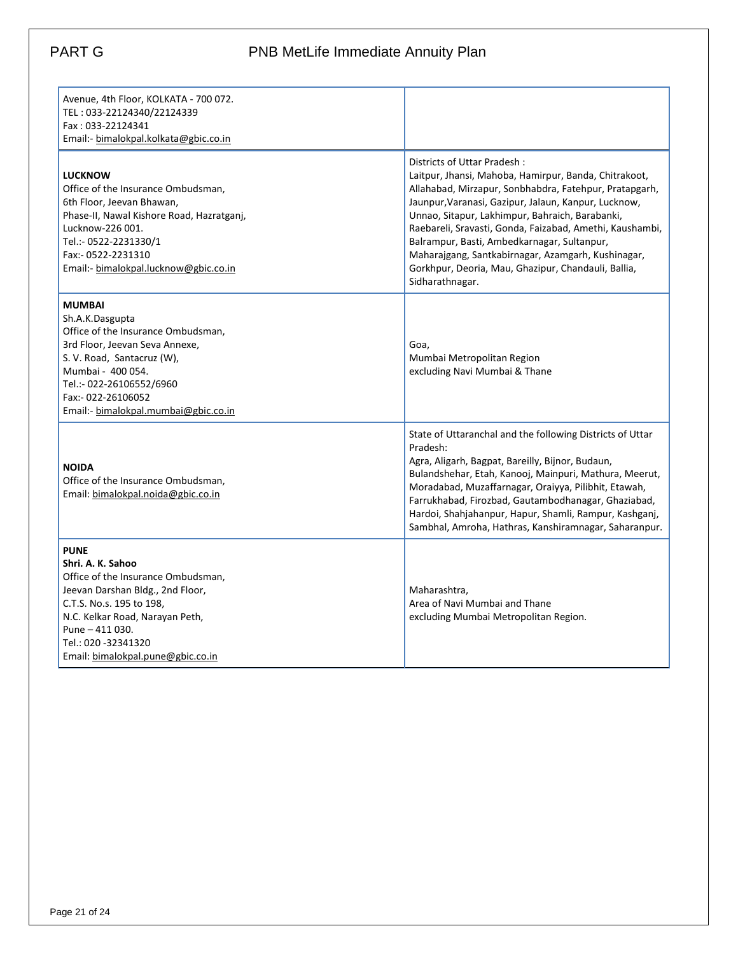# PART G **PART G** PNB MetLife Immediate Annuity Plan

| Avenue, 4th Floor, KOLKATA - 700 072.<br>TEL: 033-22124340/22124339<br>Fax: 033-22124341<br>Email:- bimalokpal.kolkata@gbic.co.in                                                                                                                        |                                                                                                                                                                                                                                                                                                                                                                                                                                                                                                      |
|----------------------------------------------------------------------------------------------------------------------------------------------------------------------------------------------------------------------------------------------------------|------------------------------------------------------------------------------------------------------------------------------------------------------------------------------------------------------------------------------------------------------------------------------------------------------------------------------------------------------------------------------------------------------------------------------------------------------------------------------------------------------|
| <b>LUCKNOW</b><br>Office of the Insurance Ombudsman,<br>6th Floor, Jeevan Bhawan,<br>Phase-II, Nawal Kishore Road, Hazratganj,<br>Lucknow-226 001.<br>Tel.:- 0522-2231330/1<br>Fax:- 0522-2231310<br>Email:- bimalokpal.lucknow@gbic.co.in               | Districts of Uttar Pradesh:<br>Laitpur, Jhansi, Mahoba, Hamirpur, Banda, Chitrakoot,<br>Allahabad, Mirzapur, Sonbhabdra, Fatehpur, Pratapgarh,<br>Jaunpur, Varanasi, Gazipur, Jalaun, Kanpur, Lucknow,<br>Unnao, Sitapur, Lakhimpur, Bahraich, Barabanki,<br>Raebareli, Sravasti, Gonda, Faizabad, Amethi, Kaushambi,<br>Balrampur, Basti, Ambedkarnagar, Sultanpur,<br>Maharajgang, Santkabirnagar, Azamgarh, Kushinagar,<br>Gorkhpur, Deoria, Mau, Ghazipur, Chandauli, Ballia,<br>Sidharathnagar. |
| <b>MUMBAI</b><br>Sh.A.K.Dasgupta<br>Office of the Insurance Ombudsman,<br>3rd Floor, Jeevan Seva Annexe,<br>S. V. Road, Santacruz (W),<br>Mumbai - 400 054.<br>Tel.:- 022-26106552/6960<br>Fax:- 022-26106052<br>Email:- bimalokpal.mumbai@gbic.co.in    | Goa,<br>Mumbai Metropolitan Region<br>excluding Navi Mumbai & Thane                                                                                                                                                                                                                                                                                                                                                                                                                                  |
| <b>NOIDA</b><br>Office of the Insurance Ombudsman,<br>Email: bimalokpal.noida@gbic.co.in                                                                                                                                                                 | State of Uttaranchal and the following Districts of Uttar<br>Pradesh:<br>Agra, Aligarh, Bagpat, Bareilly, Bijnor, Budaun,<br>Bulandshehar, Etah, Kanooj, Mainpuri, Mathura, Meerut,<br>Moradabad, Muzaffarnagar, Oraiyya, Pilibhit, Etawah,<br>Farrukhabad, Firozbad, Gautambodhanagar, Ghaziabad,<br>Hardoi, Shahjahanpur, Hapur, Shamli, Rampur, Kashganj,<br>Sambhal, Amroha, Hathras, Kanshiramnagar, Saharanpur.                                                                                |
| <b>PUNE</b><br>Shri. A. K. Sahoo<br>Office of the Insurance Ombudsman,<br>Jeevan Darshan Bldg., 2nd Floor,<br>C.T.S. No.s. 195 to 198,<br>N.C. Kelkar Road, Narayan Peth,<br>Pune - 411 030.<br>Tel.: 020 -32341320<br>Email: bimalokpal.pune@gbic.co.in | Maharashtra,<br>Area of Navi Mumbai and Thane<br>excluding Mumbai Metropolitan Region.                                                                                                                                                                                                                                                                                                                                                                                                               |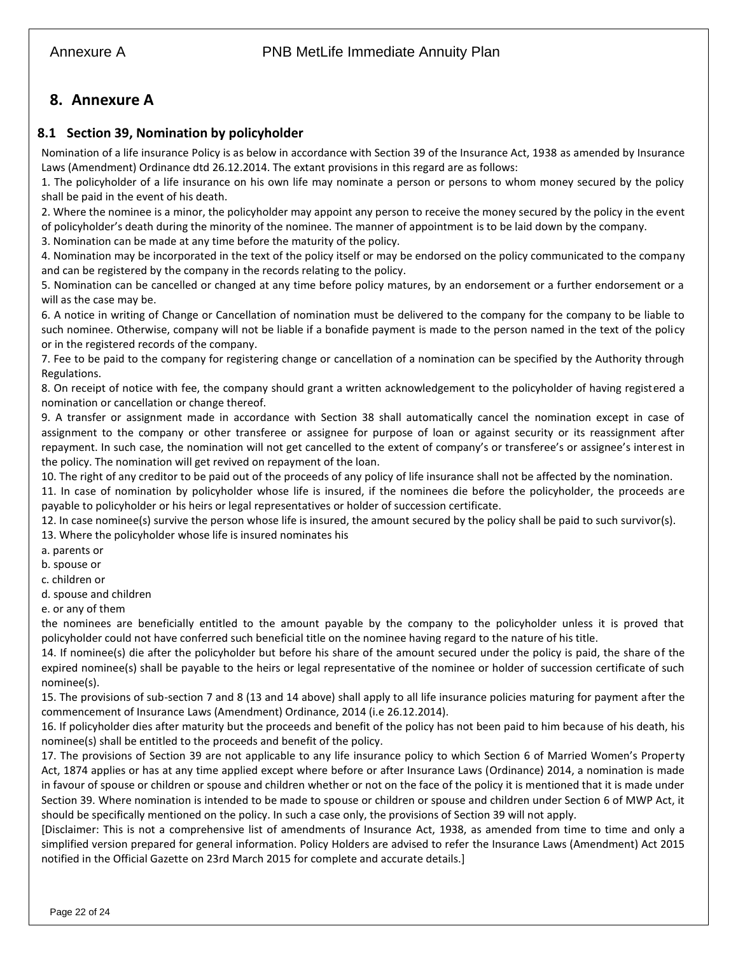# <span id="page-21-0"></span>**8. Annexure A**

## <span id="page-21-1"></span>**8.1 Section 39, Nomination by policyholder**

Nomination of a life insurance Policy is as below in accordance with Section 39 of the Insurance Act, 1938 as amended by Insurance Laws (Amendment) Ordinance dtd 26.12.2014. The extant provisions in this regard are as follows:

1. The policyholder of a life insurance on his own life may nominate a person or persons to whom money secured by the policy shall be paid in the event of his death.

2. Where the nominee is a minor, the policyholder may appoint any person to receive the money secured by the policy in the event of policyholder's death during the minority of the nominee. The manner of appointment is to be laid down by the company.

3. Nomination can be made at any time before the maturity of the policy.

4. Nomination may be incorporated in the text of the policy itself or may be endorsed on the policy communicated to the company and can be registered by the company in the records relating to the policy.

5. Nomination can be cancelled or changed at any time before policy matures, by an endorsement or a further endorsement or a will as the case may be.

6. A notice in writing of Change or Cancellation of nomination must be delivered to the company for the company to be liable to such nominee. Otherwise, company will not be liable if a bonafide payment is made to the person named in the text of the policy or in the registered records of the company.

7. Fee to be paid to the company for registering change or cancellation of a nomination can be specified by the Authority through Regulations.

8. On receipt of notice with fee, the company should grant a written acknowledgement to the policyholder of having registered a nomination or cancellation or change thereof.

9. A transfer or assignment made in accordance with Section 38 shall automatically cancel the nomination except in case of assignment to the company or other transferee or assignee for purpose of loan or against security or its reassignment after repayment. In such case, the nomination will not get cancelled to the extent of company's or transferee's or assignee's interest in the policy. The nomination will get revived on repayment of the loan.

10. The right of any creditor to be paid out of the proceeds of any policy of life insurance shall not be affected by the nomination.

11. In case of nomination by policyholder whose life is insured, if the nominees die before the policyholder, the proceeds are payable to policyholder or his heirs or legal representatives or holder of succession certificate.

12. In case nominee(s) survive the person whose life is insured, the amount secured by the policy shall be paid to such survivor(s). 13. Where the policyholder whose life is insured nominates his

a. parents or

b. spouse or

c. children or

d. spouse and children

e. or any of them

the nominees are beneficially entitled to the amount payable by the company to the policyholder unless it is proved that policyholder could not have conferred such beneficial title on the nominee having regard to the nature of his title.

14. If nominee(s) die after the policyholder but before his share of the amount secured under the policy is paid, the share of the expired nominee(s) shall be payable to the heirs or legal representative of the nominee or holder of succession certificate of such nominee(s).

15. The provisions of sub-section 7 and 8 (13 and 14 above) shall apply to all life insurance policies maturing for payment after the commencement of Insurance Laws (Amendment) Ordinance, 2014 (i.e 26.12.2014).

16. If policyholder dies after maturity but the proceeds and benefit of the policy has not been paid to him because of his death, his nominee(s) shall be entitled to the proceeds and benefit of the policy.

17. The provisions of Section 39 are not applicable to any life insurance policy to which Section 6 of Married Women's Property Act, 1874 applies or has at any time applied except where before or after Insurance Laws (Ordinance) 2014, a nomination is made in favour of spouse or children or spouse and children whether or not on the face of the policy it is mentioned that it is made under Section 39. Where nomination is intended to be made to spouse or children or spouse and children under Section 6 of MWP Act, it should be specifically mentioned on the policy. In such a case only, the provisions of Section 39 will not apply.

[Disclaimer: This is not a comprehensive list of amendments of Insurance Act, 1938, as amended from time to time and only a simplified version prepared for general information. Policy Holders are advised to refer the Insurance Laws (Amendment) Act 2015 notified in the Official Gazette on 23rd March 2015 for complete and accurate details.]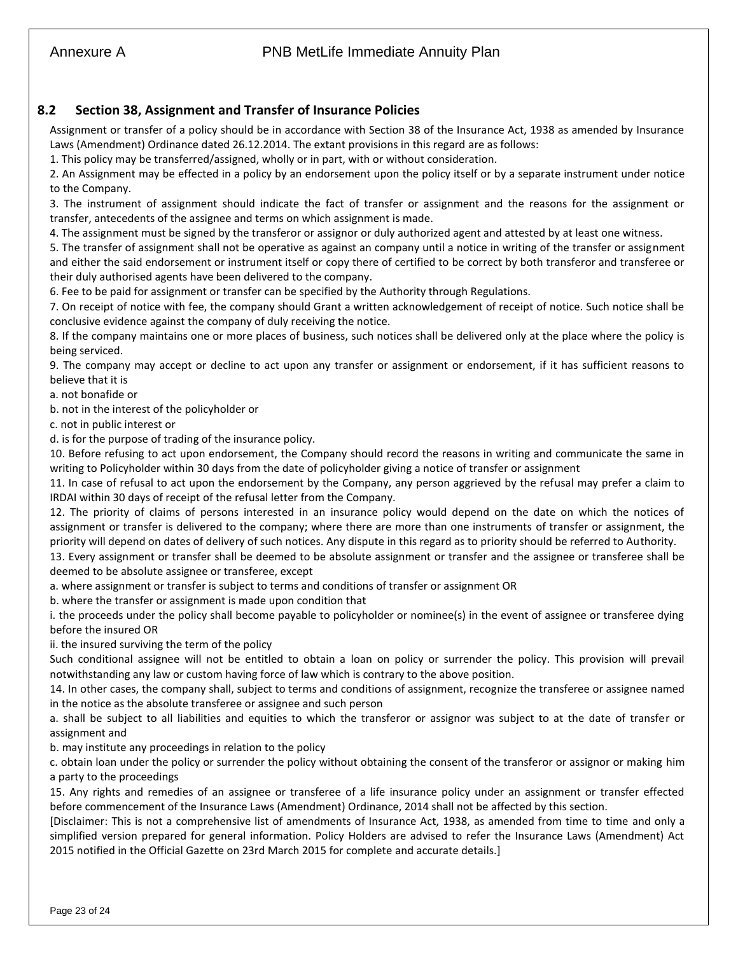## <span id="page-22-0"></span>**8.2 Section 38, Assignment and Transfer of Insurance Policies**

Assignment or transfer of a policy should be in accordance with Section 38 of the Insurance Act, 1938 as amended by Insurance Laws (Amendment) Ordinance dated 26.12.2014. The extant provisions in this regard are as follows:

1. This policy may be transferred/assigned, wholly or in part, with or without consideration.

2. An Assignment may be effected in a policy by an endorsement upon the policy itself or by a separate instrument under notice to the Company.

3. The instrument of assignment should indicate the fact of transfer or assignment and the reasons for the assignment or transfer, antecedents of the assignee and terms on which assignment is made.

4. The assignment must be signed by the transferor or assignor or duly authorized agent and attested by at least one witness.

5. The transfer of assignment shall not be operative as against an company until a notice in writing of the transfer or assignment and either the said endorsement or instrument itself or copy there of certified to be correct by both transferor and transferee or their duly authorised agents have been delivered to the company.

6. Fee to be paid for assignment or transfer can be specified by the Authority through Regulations.

7. On receipt of notice with fee, the company should Grant a written acknowledgement of receipt of notice. Such notice shall be conclusive evidence against the company of duly receiving the notice.

8. If the company maintains one or more places of business, such notices shall be delivered only at the place where the policy is being serviced.

9. The company may accept or decline to act upon any transfer or assignment or endorsement, if it has sufficient reasons to believe that it is

a. not bonafide or

b. not in the interest of the policyholder or

c. not in public interest or

d. is for the purpose of trading of the insurance policy.

10. Before refusing to act upon endorsement, the Company should record the reasons in writing and communicate the same in writing to Policyholder within 30 days from the date of policyholder giving a notice of transfer or assignment

11. In case of refusal to act upon the endorsement by the Company, any person aggrieved by the refusal may prefer a claim to IRDAI within 30 days of receipt of the refusal letter from the Company.

12. The priority of claims of persons interested in an insurance policy would depend on the date on which the notices of assignment or transfer is delivered to the company; where there are more than one instruments of transfer or assignment, the priority will depend on dates of delivery of such notices. Any dispute in this regard as to priority should be referred to Authority.

13. Every assignment or transfer shall be deemed to be absolute assignment or transfer and the assignee or transferee shall be deemed to be absolute assignee or transferee, except

a. where assignment or transfer is subject to terms and conditions of transfer or assignment OR

b. where the transfer or assignment is made upon condition that

i. the proceeds under the policy shall become payable to policyholder or nominee(s) in the event of assignee or transferee dying before the insured OR

ii. the insured surviving the term of the policy

Such conditional assignee will not be entitled to obtain a loan on policy or surrender the policy. This provision will prevail notwithstanding any law or custom having force of law which is contrary to the above position.

14. In other cases, the company shall, subject to terms and conditions of assignment, recognize the transferee or assignee named in the notice as the absolute transferee or assignee and such person

a. shall be subject to all liabilities and equities to which the transferor or assignor was subject to at the date of transfer or assignment and

b. may institute any proceedings in relation to the policy

c. obtain loan under the policy or surrender the policy without obtaining the consent of the transferor or assignor or making him a party to the proceedings

15. Any rights and remedies of an assignee or transferee of a life insurance policy under an assignment or transfer effected before commencement of the Insurance Laws (Amendment) Ordinance, 2014 shall not be affected by this section.

[Disclaimer: This is not a comprehensive list of amendments of Insurance Act, 1938, as amended from time to time and only a simplified version prepared for general information. Policy Holders are advised to refer the Insurance Laws (Amendment) Act 2015 notified in the Official Gazette on 23rd March 2015 for complete and accurate details.]